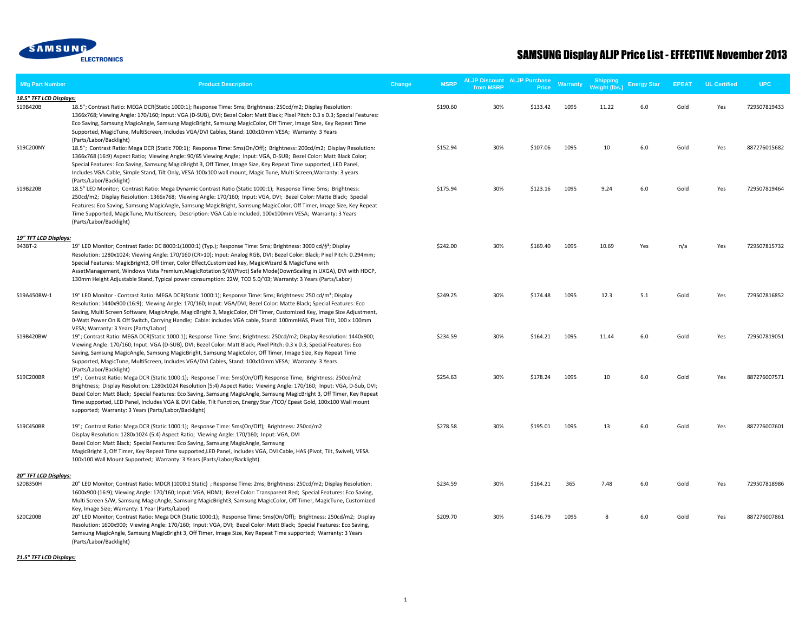

| <b>Mfg Part Number</b>  | <b>Product Description</b>                                                                                                                                                                                                                                                                                                                                                                                                                                                                                                                                                                         | Change | <b>MSRP</b> | <b>ALJP Discount ALJP Purchase</b><br>from MSRP | Price    | <b>Warranty</b> | <b>Shipping</b><br><b>Weight (lbs.)</b> | <b>Energy Star</b> | <b>EPEAT</b> | <b>UL Certified</b> | <b>UPC</b>   |
|-------------------------|----------------------------------------------------------------------------------------------------------------------------------------------------------------------------------------------------------------------------------------------------------------------------------------------------------------------------------------------------------------------------------------------------------------------------------------------------------------------------------------------------------------------------------------------------------------------------------------------------|--------|-------------|-------------------------------------------------|----------|-----------------|-----------------------------------------|--------------------|--------------|---------------------|--------------|
| 18.5" TFT LCD Displays: |                                                                                                                                                                                                                                                                                                                                                                                                                                                                                                                                                                                                    |        |             |                                                 |          |                 |                                         |                    |              |                     |              |
| S19B420B                | 18.5"; Contrast Ratio: MEGA DCR(Static 1000:1); Response Time: 5ms; Brightness: 250cd/m2; Display Resolution:<br>1366x768; Viewing Angle: 170/160; Input: VGA (D-SUB), DVI; Bezel Color: Matt Black; Pixel Pitch: 0.3 x 0.3; Special Features:<br>Eco Saving, Samsung MagicAngle, Samsung MagicBright, Samsung MagicColor, Off Timer, Image Size, Key Repeat Time<br>Supported, MagicTune, MultiScreen, Includes VGA/DVI Cables, Stand: 100x10mm VESA; Warranty: 3 Years<br>(Parts/Labor/Backlight)                                                                                                |        | \$190.60    | 30%                                             | \$133.42 | 1095            | 11.22                                   | 6.0                | Gold         | Yes                 | 729507819433 |
| S19C200NY               | 18.5"; Contrast Ratio: Mega DCR (Static 700:1); Response Time: 5ms(On/Off); Brightness: 200cd/m2; Display Resolution:<br>1366x768 (16:9) Aspect Ratio; Viewing Angle: 90/65 Viewing Angle; Input: VGA, D-SUB; Bezel Color: Matt Black Color;<br>Special Features: Eco Saving, Samsung MagicBright 3, Off Timer, Image Size, Key Repeat Time supported, LED Panel,<br>Includes VGA Cable, Simple Stand, Tilt Only, VESA 100x100 wall mount, Magic Tune, Multi Screen; Warranty: 3 years<br>(Parts/Labor/Backlight)                                                                                  |        | \$152.94    | 30%                                             | \$107.06 | 1095            | 10                                      | 6.0                | Gold         | Yes                 | 887276015682 |
| S19B220B                | 18.5" LED Monitor; Contrast Ratio: Mega Dynamic Contrast Ratio (Static 1000:1); Response Time: 5ms; Brightness:<br>250cd/m2; Display Resolution: 1366x768; Viewing Angle: 170/160; Input: VGA, DVI; Bezel Color: Matte Black; Special<br>Features: Eco Saving, Samsung MagicAngle, Samsung MagicBright, Samsung MagicColor, Off Timer, Image Size, Key Repeat<br>Time Supported, MagicTune, MultiScreen; Description: VGA Cable Included, 100x100mm VESA; Warranty: 3 Years<br>(Parts/Labor/Backlight)                                                                                             |        | \$175.94    | 30%                                             | \$123.16 | 1095            | 9.24                                    | 6.0                | Gold         | Yes                 | 729507819464 |
| 19" TFT LCD Displays:   |                                                                                                                                                                                                                                                                                                                                                                                                                                                                                                                                                                                                    |        |             |                                                 |          |                 |                                         |                    |              |                     |              |
| 943BT-2                 | 19" LED Monitor; Contrast Ratio: DC 8000:1(1000:1) (Typ.); Response Time: 5ms; Brightness: 3000 cd/§ <sup>3</sup> ; Display<br>Resolution: 1280x1024; Viewing Angle: 170/160 (CR>10); Input: Analog RGB, DVI; Bezel Color: Black; Pixel Pitch: 0.294mm;<br>Special Features: MagicBright3, Off timer, Color Effect, Customized key, MagicWizard & MagicTune with<br>AssetManagement, Windows Vista Premium, MagicRotation S/W(Pivot) Safe Mode(DownScaling in UXGA), DVI with HDCP,<br>130mm Height Adjustable Stand, Typical power consumption: 22W, TCO 5.0/'03; Warranty: 3 Years (Parts/Labor) |        | \$242.00    | 30%                                             | \$169.40 | 1095            | 10.69                                   | Yes                | n/a          | Yes                 | 729507815732 |
| S19A450BW-1             | 19" LED Monitor - Contrast Ratio: MEGA DCR(Static 1000:1); Response Time: 5ms; Brightness: 250 cd/m <sup>2</sup> ; Display<br>Resolution: 1440x900 (16:9); Viewing Angle: 170/160; Input: VGA/DVI; Bezel Color: Matte Black; Special Features: Eco<br>Saving, Multi Screen Software, MagicAngle, MagicBright 3, MagicColor, Off Timer, Customized Key, Image Size Adjustment,<br>0-Watt Power On & Off Switch, Carrying Handle; Cable: includes VGA cable, Stand: 100mmHAS, Pivot Tiltt, 100 x 100mm<br>VESA; Warranty: 3 Years (Parts/Labor)                                                      |        | \$249.25    | 30%                                             | \$174.48 | 1095            | 12.3                                    | 5.1                | Gold         | Yes                 | 729507816852 |
| S19B420BW               | 19"; Contrast Ratio: MEGA DCR(Static 1000:1); Response Time: 5ms; Brightness: 250cd/m2; Display Resolution: 1440x900;<br>Viewing Angle: 170/160; Input: VGA (D-SUB), DVI; Bezel Color: Matt Black; Pixel Pitch: 0.3 x 0.3; Special Features: Eco<br>Saving, Samsung MagicAngle, Samsung MagicBright, Samsung MagicColor, Off Timer, Image Size, Key Repeat Time<br>Supported, MagicTune, MultiScreen, Includes VGA/DVI Cables, Stand: 100x10mm VESA; Warranty: 3 Years<br>(Parts/Labor/Backlight)                                                                                                  |        | \$234.59    | 30%                                             | \$164.21 | 1095            | 11.44                                   | 6.0                | Gold         | Yes                 | 729507819051 |
| S19C200BR               | 19"; Contrast Ratio: Mega DCR (Static 1000:1); Response Time: 5ms(On/Off) Response Time; Brightness: 250cd/m2<br>Brightness; Display Resolution: 1280x1024 Resolution (5:4) Aspect Ratio; Viewing Angle: 170/160; Input: VGA, D-Sub, DVI;<br>Bezel Color: Matt Black; Special Features: Eco Saving, Samsung MagicAngle, Samsung MagicBright 3, Off Timer, Key Repeat<br>Time supported, LED Panel, Includes VGA & DVI Cable, Tilt Function, Energy Star /TCO/ Epeat Gold, 100x100 Wall mount<br>supported; Warranty: 3 Years (Parts/Labor/Backlight)                                               |        | \$254.63    | 30%                                             | \$178.24 | 1095            | 10                                      | 6.0                | Gold         | Yes                 | 887276007571 |
| S19C450BR               | 19"; Contrast Ratio: Mega DCR (Static 1000:1); Response Time: 5ms(On/Off); Brightness: 250cd/m2<br>Display Resolution: 1280x1024 (5:4) Aspect Ratio; Viewing Angle: 170/160; Input: VGA, DVI<br>Bezel Color: Matt Black; Special Features: Eco Saving, Samsung MagicAngle, Samsung<br>MagicBright 3, Off Timer, Key Repeat Time supported, LED Panel, Includes VGA, DVI Cable, HAS (Pivot, Tilt, Swivel), VESA<br>100x100 Wall Mount Supported; Warranty: 3 Years (Parts/Labor/Backlight)                                                                                                          |        | \$278.58    | 30%                                             | \$195.01 | 1095            | 13                                      | 6.0                | Gold         | Yes                 | 887276007601 |
| 20" TFT LCD Displays:   |                                                                                                                                                                                                                                                                                                                                                                                                                                                                                                                                                                                                    |        |             |                                                 |          |                 |                                         |                    |              |                     |              |
| S20B350H                | 20" LED Monitor; Contrast Ratio: MDCR (1000:1 Static); Response Time: 2ms; Brightness: 250cd/m2; Display Resolution:<br>1600x900 (16:9); Viewing Angle: 170/160; Input: VGA, HDMI; Bezel Color: Transparent Red; Special Features: Eco Saving,<br>Multi Screen S/W, Samsung MagicAngle, Samsung MagicBright3, Samsung MagicColor, Off Timer, MagicTune, Customized<br>Key, Image Size; Warranty: 1 Year (Parts/Labor)                                                                                                                                                                              |        | \$234.59    | 30%                                             | \$164.21 | 365             | 7.48                                    | 6.0                | Gold         | Yes                 | 729507818986 |
| S20C200B                | 20" LED Monitor; Contrast Ratio: Mega DCR (Static 1000:1); Response Time: 5ms(On/Off); Brightness: 250cd/m2; Display<br>Resolution: 1600x900; Viewing Angle: 170/160; Input: VGA, DVI; Bezel Color: Matt Black; Special Features: Eco Saving,<br>Samsung MagicAngle, Samsung MagicBright 3, Off Timer, Image Size, Key Repeat Time supported; Warranty: 3 Years<br>(Parts/Labor/Backlight)                                                                                                                                                                                                         |        | \$209.70    | 30%                                             | \$146.79 | 1095            | 8                                       | 6.0                | Gold         | Yes                 | 887276007861 |

*21.5" TFT LCD Displays:*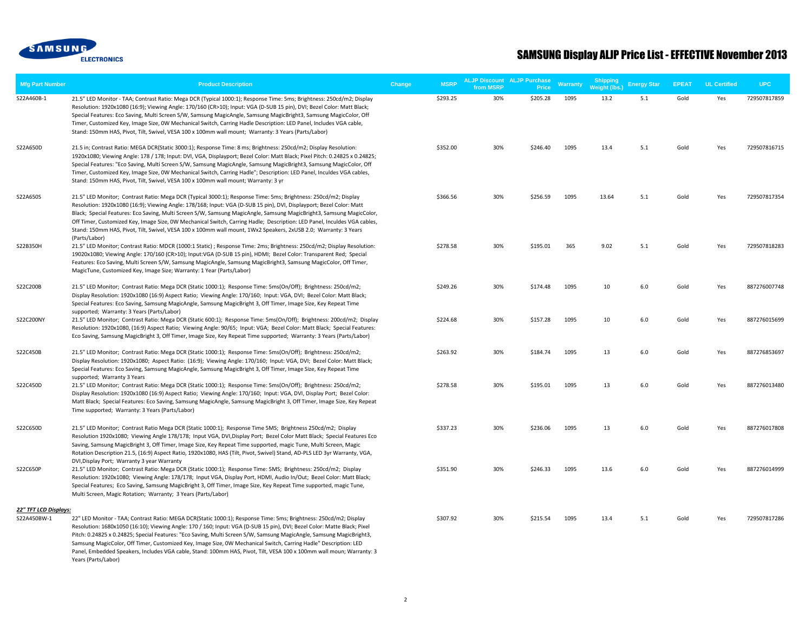

| <b>Mfg Part Number</b>               | <b>Product Description</b>                                                                                                                                                                                                                                                                                                                                                                                                                                                                                                                                                                                     | Change | <b>MSRP</b> | from MSRP | <b>ALJP Discount ALJP Purchase</b><br>Price | <b>Warranty</b> | <b>Shipping</b><br>Weight (lbs.) | <b>Energy Star</b> | <b>EPEAT</b> | <b>UL Certified</b> | UPC          |
|--------------------------------------|----------------------------------------------------------------------------------------------------------------------------------------------------------------------------------------------------------------------------------------------------------------------------------------------------------------------------------------------------------------------------------------------------------------------------------------------------------------------------------------------------------------------------------------------------------------------------------------------------------------|--------|-------------|-----------|---------------------------------------------|-----------------|----------------------------------|--------------------|--------------|---------------------|--------------|
| S22A460B-1                           | 21.5" LED Monitor - TAA; Contrast Ratio: Mega DCR (Typical 1000:1); Response Time: 5ms; Brightness: 250cd/m2; Display<br>Resolution: 1920x1080 (16:9); Viewing Angle: 170/160 (CR>10); Input: VGA (D-SUB 15 pin), DVI; Bezel Color: Matt Black;<br>Special Features: Eco Saving, Multi Screen S/W, Samsung MagicAngle, Samsung MagicBright3, Samsung MagicColor, Off<br>Timer, Customized Key, Image Size, OW Mechanical Switch, Carring Hadle Description: LED Panel, Includes VGA cable,<br>Stand: 150mm HAS, Pivot, Tilt, Swivel, VESA 100 x 100mm wall mount; Warranty: 3 Years (Parts/Labor)              |        | \$293.25    | 30%       | \$205.28                                    | 1095            | 13.2                             | 5.1                | Gold         | Yes                 | 729507817859 |
| S22A650D                             | 21.5 in; Contrast Ratio: MEGA DCR(Static 3000:1); Response Time: 8 ms; Brightness: 250cd/m2; Display Resolution:<br>1920x1080; Viewing Angle: 178 / 178; Input: DVI, VGA, Displayport; Bezel Color: Matt Black; Pixel Pitch: 0.24825 x 0.24825;<br>Special Features: "Eco Saving, Multi Screen S/W, Samsung MagicAngle, Samsung MagicBright3, Samsung MagicColor, Off<br>Timer, Customized Key, Image Size, OW Mechanical Switch, Carring Hadle"; Description: LED Panel, Inculdes VGA cables,<br>Stand: 150mm HAS, Pivot, Tilt, Swivel, VESA 100 x 100mm wall mount; Warranty: 3 yr                           |        | \$352.00    | 30%       | \$246.40                                    | 1095            | 13.4                             | 5.1                | Gold         | Yes                 | 729507816715 |
| S22A650S                             | 21.5" LED Monitor; Contrast Ratio: Mega DCR (Typical 3000:1); Response Time: 5ms; Brightness: 250cd/m2; Display<br>Resolution: 1920x1080 (16:9); Viewing Angle: 178/168; Input: VGA (D-SUB 15 pin), DVI, Displayport; Bezel Color: Matt<br>Black; Special Features: Eco Saving, Multi Screen S/W, Samsung MagicAngle, Samsung MagicBright3, Samsung MagicColor,<br>Off Timer, Customized Key, Image Size, OW Mechanical Switch, Carring Hadle; Description: LED Panel, Inculdes VGA cables,<br>Stand: 150mm HAS, Pivot, Tilt, Swivel, VESA 100 x 100mm wall mount, 1Wx2 Speakers, 2xUSB 2.0; Warranty: 3 Years |        | \$366.56    | 30%       | \$256.59                                    | 1095            | 13.64                            | 5.1                | Gold         | Yes                 | 729507817354 |
| S22B350H                             | (Parts/Labor)<br>21.5" LED Monitor; Contrast Ratio: MDCR (1000:1 Static) ; Response Time: 2ms; Brightness: 250cd/m2; Display Resolution:<br>19020x1080; Viewing Angle: 170/160 (CR>10); Input:VGA (D-SUB 15 pin), HDMI; Bezel Color: Transparent Red; Special<br>Features: Eco Saving, Multi Screen S/W, Samsung MagicAngle, Samsung MagicBright3, Samsung MagicColor, Off Timer,<br>MagicTune, Customized Key, Image Size; Warranty: 1 Year (Parts/Labor)                                                                                                                                                     |        | \$278.58    | 30%       | \$195.01                                    | 365             | 9.02                             | 5.1                | Gold         | Yes                 | 729507818283 |
| S22C200B                             | 21.5" LED Monitor; Contrast Ratio: Mega DCR (Static 1000:1); Response Time: 5ms(On/Off); Brightness: 250cd/m2;<br>Display Resolution: 1920x1080 (16:9) Aspect Ratio; Viewing Angle: 170/160; Input: VGA, DVI; Bezel Color: Matt Black;<br>Special Features: Eco Saving, Samsung MagicAngle, Samsung MagicBright 3, Off Timer, Image Size, Key Repeat Time<br>supported; Warranty: 3 Years (Parts/Labor)                                                                                                                                                                                                        |        | \$249.26    | 30%       | \$174.48                                    | 1095            | 10                               | 6.0                | Gold         | Yes                 | 887276007748 |
| S22C200NY                            | 21.5" LED Monitor; Contrast Ratio: Mega DCR (Static 600:1); Response Time: 5ms(On/Off); Brightness: 200cd/m2; Display<br>Resolution: 1920x1080, (16:9) Aspect Ratio; Viewing Angle: 90/65; Input: VGA; Bezel Color: Matt Black; Special Features:<br>Eco Saving, Samsung MagicBright 3, Off Timer, Image Size, Key Repeat Time supported; Warranty: 3 Years (Parts/Labor)                                                                                                                                                                                                                                      |        | \$224.68    | 30%       | \$157.28                                    | 1095            | 10                               | 6.0                | Gold         | Yes                 | 887276015699 |
| S22C450B                             | 21.5" LED Monitor; Contrast Ratio: Mega DCR (Static 1000:1); Response Time: 5ms(On/Off); Brightness: 250cd/m2;<br>Display Resolution: 1920x1080; Aspect Ratio: (16:9); Viewing Angle: 170/160; Input: VGA, DVI; Bezel Color: Matt Black;<br>Special Features: Eco Saving, Samsung MagicAngle, Samsung MagicBright 3, Off Timer, Image Size, Key Repeat Time                                                                                                                                                                                                                                                    |        | \$263.92    | 30%       | \$184.74                                    | 1095            | 13                               | 6.0                | Gold         | Yes                 | 887276853697 |
| S22C450D                             | supported; Warranty 3 Years<br>21.5" LED Monitor; Contrast Ratio: Mega DCR (Static 1000:1); Response Time: 5ms(On/Off); Brightness: 250cd/m2;<br>Display Resolution: 1920x1080 (16:9) Aspect Ratio; Viewing Angle: 170/160; Input: VGA, DVI, Display Port; Bezel Color:<br>Matt Black; Special Features: Eco Saving, Samsung MagicAngle, Samsung MagicBright 3, Off Timer, Image Size, Key Repeat<br>Time supported; Warranty: 3 Years (Parts/Labor)                                                                                                                                                           |        | \$278.58    | 30%       | \$195.01                                    | 1095            | 13                               | 6.0                | Gold         | Yes                 | 887276013480 |
| S22C650D                             | 21.5" LED Monitor; Contrast Ratio Mega DCR (Static 1000:1); Response Time 5MS; Brightness 250cd/m2; Display<br>Resolution 1920x1080; Viewing Angle 178/178; Input VGA, DVI, Display Port; Bezel Color Matt Black; Special Features Eco<br>Saving, Samsung MagicBright 3, Off Timer, Image Size, Key Repeat Time supported, magic Tune, Multi Screen, Magic<br>Rotation Description 21.5, (16:9) Aspect Ratio, 1920x1080, HAS (Tilt, Pivot, Swivel) Stand, AD-PLS LED 3yr Warranty, VGA,                                                                                                                        |        | \$337.23    | 30%       | \$236.06                                    | 1095            | 13                               | 6.0                | Gold         | Yes                 | 887276017808 |
| S22C650P                             | DVI, Display Port; Warranty 3 year Warranty<br>21.5" LED Monitor; Contrast Ratio: Mega DCR (Static 1000:1); Response Time: 5MS; Brightness: 250cd/m2; Display<br>Resolution: 1920x1080; Viewing Angle: 178/178; Input VGA, Display Port, HDMI, Audio In/Out; Bezel Color: Matt Black;<br>Special Features; Eco Saving, Samsung MagicBright 3, Off Timer, Image Size, Key Repeat Time supported, magic Tune,<br>Multi Screen, Magic Rotation; Warranty; 3 Years (Parts/Labor)                                                                                                                                   |        | \$351.90    | 30%       | \$246.33                                    | 1095            | 13.6                             | 6.0                | Gold         | Yes                 | 887276014999 |
| 22" TFT LCD Displays:<br>S22A450BW-1 | 22" LED Monitor - TAA; Contrast Ratio: MEGA DCR(Static 1000:1); Response Time: 5ms; Brightness: 250cd/m2; Display<br>Resolution: 1680x1050 (16:10); Viewing Angle: 170 / 160; Input: VGA (D-SUB 15 pin), DVI; Bezel Color: Matte Black; Pixel<br>Pitch: 0.24825 x 0.24825; Special Features: "Eco Saving, Multi Screen S/W, Samsung MagicAngle, Samsung MagicBright3,<br>Samsung MagicColor, Off Timer, Customized Key, Image Size, OW Mechanical Switch, Carring Hadle" Description: LED                                                                                                                      |        | \$307.92    | 30%       | \$215.54                                    | 1095            | 13.4                             | 5.1                | Gold         | Yes                 | 729507817286 |

Panel, Embedded Speakers, Includes VGA cable, Stand: 100mm HAS, Pivot, Tilt, VESA 100 x 100mm wall moun; Warranty: 3

Years (Parts/Labor)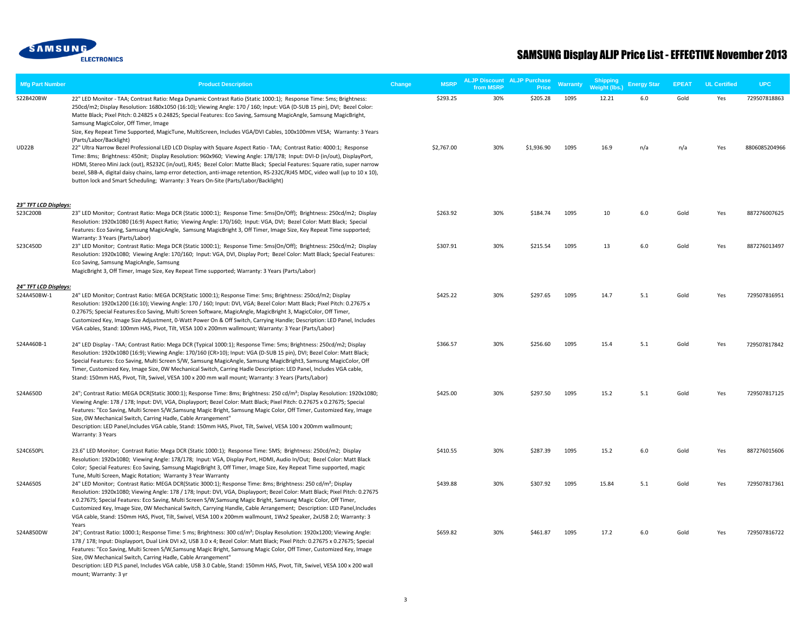

| <b>Mfg Part Number</b>               | <b>Product Description</b>                                                                                                                                                                                                                                                                                                                                                                                                                                                                                                                                                                                                                                                                                                                                                                                                                                                                                                                                                                                                                                                                                                                                                | Change | <b>MSRP</b>            | <b>ALJP Discount ALJP Purchase</b><br>from MSRP | <b>Price</b>           | <b>Warranty</b> | <b>Shipping</b><br><b>Weight (lbs.)</b> | <b>Energy Star</b> | <b>EPEAT</b> | <b>UL</b> Certified | <b>UPC</b>                    |
|--------------------------------------|---------------------------------------------------------------------------------------------------------------------------------------------------------------------------------------------------------------------------------------------------------------------------------------------------------------------------------------------------------------------------------------------------------------------------------------------------------------------------------------------------------------------------------------------------------------------------------------------------------------------------------------------------------------------------------------------------------------------------------------------------------------------------------------------------------------------------------------------------------------------------------------------------------------------------------------------------------------------------------------------------------------------------------------------------------------------------------------------------------------------------------------------------------------------------|--------|------------------------|-------------------------------------------------|------------------------|-----------------|-----------------------------------------|--------------------|--------------|---------------------|-------------------------------|
| S22B420BW<br><b>UD22B</b>            | 22" LED Monitor - TAA; Contrast Ratio: Mega Dynamic Contrast Ratio (Static 1000:1); Response Time: 5ms; Brightness:<br>250cd/m2; Display Resolution: 1680x1050 (16:10); Viewing Angle: 170 / 160; Input: VGA (D-SUB 15 pin), DVI; Bezel Color:<br>Matte Black; Pixel Pitch: 0.24825 x 0.24825; Special Features: Eco Saving, Samsung MagicAngle, Samsung MagicBright,<br>Samsung MagicColor, Off Timer, Image<br>Size, Key Repeat Time Supported, MagicTune, MultiScreen, Includes VGA/DVI Cables, 100x100mm VESA; Warranty: 3 Years<br>(Parts/Labor/Backlight)<br>22" Ultra Narrow Bezel Professional LED LCD Display with Square Aspect Ratio - TAA; Contrast Ratio: 4000:1; Response<br>Time: 8ms; Brightness: 450nit; Display Resolution: 960x960; Viewing Angle: 178/178; Input: DVI-D (in/out), DisplayPort,<br>HDMI, Stereo Mini Jack (out), RS232C (in/out), RJ45; Bezel Color: Matte Black; Special Features: Square ratio, super narrow<br>bezel, SBB-A, digital daisy chains, lamp error detection, anti-image retention, RS-232C/RJ45 MDC, video wall (up to 10 x 10),<br>button lock and Smart Scheduling; Warranty: 3 Years On-Site (Parts/Labor/Backlight) |        | \$293.25<br>\$2,767.00 | 30%<br>30%                                      | \$205.28<br>\$1,936.90 | 1095<br>1095    | 12.21<br>16.9                           | 6.0<br>n/a         | Gold<br>n/a  | Yes<br>Yes          | 729507818863<br>8806085204966 |
| 23" TFT LCD Displays:                |                                                                                                                                                                                                                                                                                                                                                                                                                                                                                                                                                                                                                                                                                                                                                                                                                                                                                                                                                                                                                                                                                                                                                                           |        |                        |                                                 |                        |                 |                                         |                    |              |                     |                               |
| S23C200B                             | 23" LED Monitor; Contrast Ratio: Mega DCR (Static 1000:1); Response Time: 5ms(On/Off); Brightness: 250cd/m2; Display<br>Resolution: 1920x1080 (16:9) Aspect Ratio; Viewing Angle: 170/160; Input: VGA, DVI; Bezel Color: Matt Black; Special<br>Features: Eco Saving, Samsung MagicAngle, Samsung MagicBright 3, Off Timer, Image Size, Key Repeat Time supported;<br>Warranty: 3 Years (Parts/Labor)                                                                                                                                                                                                                                                                                                                                                                                                                                                                                                                                                                                                                                                                                                                                                                     |        | \$263.92               | 30%                                             | \$184.74               | 1095            | 10                                      | 6.0                | Gold         | Yes                 | 887276007625                  |
| S23C450D                             | 23" LED Monitor; Contrast Ratio: Mega DCR (Static 1000:1); Response Time: 5ms(On/Off); Brightness: 250cd/m2; Display<br>Resolution: 1920x1080; Viewing Angle: 170/160; Input: VGA, DVI, Display Port; Bezel Color: Matt Black; Special Features:<br>Eco Saving, Samsung MagicAngle, Samsung<br>MagicBright 3, Off Timer, Image Size, Key Repeat Time supported; Warranty: 3 Years (Parts/Labor)                                                                                                                                                                                                                                                                                                                                                                                                                                                                                                                                                                                                                                                                                                                                                                           |        | \$307.91               | 30%                                             | \$215.54               | 1095            | 13                                      | 6.0                | Gold         | Yes                 | 887276013497                  |
|                                      |                                                                                                                                                                                                                                                                                                                                                                                                                                                                                                                                                                                                                                                                                                                                                                                                                                                                                                                                                                                                                                                                                                                                                                           |        |                        |                                                 |                        |                 |                                         |                    |              |                     |                               |
| 24" TFT LCD Displays:<br>S24A450BW-1 | 24" LED Monitor; Contrast Ratio: MEGA DCR(Static 1000:1); Response Time: 5ms; Brightness: 250cd/m2; Display<br>Resolution: 1920x1200 (16:10); Viewing Angle: 170 / 160; Input: DVI, VGA; Bezel Color: Matt Black; Pixel Pitch: 0.27675 x<br>0.27675; Special Features: Eco Saving, Multi Screen Software, MagicAngle, MagicBright 3, MagicColor, Off Timer,<br>Customized Key, Image Size Adjustment, 0-Watt Power On & Off Switch, Carrying Handle; Description: LED Panel, Includes<br>VGA cables, Stand: 100mm HAS, Pivot, Tilt, VESA 100 x 200mm wallmount; Warranty: 3 Year (Parts/Labor)                                                                                                                                                                                                                                                                                                                                                                                                                                                                                                                                                                            |        | \$425.22               | 30%                                             | \$297.65               | 1095            | 14.7                                    | 5.1                | Gold         | Yes                 | 729507816951                  |
| S24A460B-1                           | 24" LED Display - TAA; Contrast Ratio: Mega DCR (Typical 1000:1); Response Time: 5ms; Brightness: 250cd/m2; Display<br>Resolution: 1920x1080 (16:9); Viewing Angle: 170/160 (CR>10); Input: VGA (D-SUB 15 pin), DVI; Bezel Color: Matt Black;<br>Special Features: Eco Saving, Multi Screen S/W, Samsung MagicAngle, Samsung MagicBright3, Samsung MagicColor, Off<br>Timer, Customized Key, Image Size, OW Mechanical Switch, Carring Hadle Description: LED Panel, Includes VGA cable,<br>Stand: 150mm HAS, Pivot, Tilt, Swivel, VESA 100 x 200 mm wall mount; Warranty: 3 Years (Parts/Labor)                                                                                                                                                                                                                                                                                                                                                                                                                                                                                                                                                                          |        | \$366.57               | 30%                                             | \$256.60               | 1095            | 15.4                                    | 5.1                | Gold         | Yes                 | 729507817842                  |
| S24A650D                             | 24"; Contrast Ratio: MEGA DCR(Static 3000:1); Response Time: 8ms; Brightness: 250 cd/m <sup>2</sup> ; Display Resolution: 1920x1080;<br>Viewing Angle: 178 / 178; Input: DVI, VGA, Displayport; Bezel Color: Matt Black; Pixel Pitch: 0.27675 x 0.27675; Special<br>Features: "Eco Saving, Multi Screen S/W, Samsung Magic Bright, Samsung Magic Color, Off Timer, Customized Key, Image<br>Size, OW Mechanical Switch, Carring Hadle, Cable Arrangement"<br>Description: LED Panel, Includes VGA cable, Stand: 150mm HAS, Pivot, Tilt, Swivel, VESA 100 x 200mm wallmount;<br>Warranty: 3 Years                                                                                                                                                                                                                                                                                                                                                                                                                                                                                                                                                                          |        | \$425.00               | 30%                                             | \$297.50               | 1095            | 15.2                                    | 5.1                | Gold         | Yes                 | 729507817125                  |
| S24C650PL                            | 23.6" LED Monitor; Contrast Ratio: Mega DCR (Static 1000:1); Response Time: 5MS; Brightness: 250cd/m2; Display<br>Resolution: 1920x1080; Viewing Angle: 178/178; Input: VGA, Display Port, HDMI, Audio In/Out; Bezel Color: Matt Black<br>Color; Special Features: Eco Saving, Samsung MagicBright 3, Off Timer, Image Size, Key Repeat Time supported, magic                                                                                                                                                                                                                                                                                                                                                                                                                                                                                                                                                                                                                                                                                                                                                                                                             |        | \$410.55               | 30%                                             | \$287.39               | 1095            | 15.2                                    | 6.0                | Gold         | Yes                 | 887276015606                  |
| S24A650S                             | Tune, Multi Screen, Magic Rotation; Warranty 3 Year Warranty<br>24" LED Monitor; Contrast Ratio: MEGA DCR(Static 3000:1); Response Time: 8ms; Brightness: 250 cd/m <sup>2</sup> ; Display<br>Resolution: 1920x1080; Viewing Angle: 178 / 178; Input: DVI, VGA, Displayport; Bezel Color: Matt Black; Pixel Pitch: 0.27675<br>x 0.27675; Special Features: Eco Saving, Multi Screen S/W, Samsung Magic Bright, Samsung Magic Color, Off Timer,<br>Customized Key, Image Size, OW Mechanical Switch, Carrying Handle, Cable Arrangement; Description: LED Panel, Includes<br>VGA cable, Stand: 150mm HAS, Pivot, Tilt, Swivel, VESA 100 x 200mm wallmount, 1Wx2 Speaker, 2xUSB 2.0; Warranty: 3<br>Years                                                                                                                                                                                                                                                                                                                                                                                                                                                                    |        | \$439.88               | 30%                                             | \$307.92               | 1095            | 15.84                                   | 5.1                | Gold         | Yes                 | 729507817361                  |
| S24A850DW                            | 24"; Contrast Ratio: 1000:1; Response Time: 5 ms; Brightness: 300 cd/m <sup>2</sup> ; Display Resolution: 1920x1200; Viewing Angle:<br>178 / 178; Input: Displayport, Dual Link DVI x2, USB 3.0 x 4; Bezel Color: Matt Black; Pixel Pitch: 0.27675 x 0.27675; Special<br>Features: "Eco Saving, Multi Screen S/W, Samsung Magic Bright, Samsung Magic Color, Off Timer, Customized Key, Image<br>Size, OW Mechanical Switch, Carring Hadle, Cable Arrangement"<br>Description: LED PLS panel, Includes VGA cable, USB 3.0 Cable, Stand: 150mm HAS, Pivot, Tilt, Swivel, VESA 100 x 200 wall<br>mount; Warranty: 3 yr                                                                                                                                                                                                                                                                                                                                                                                                                                                                                                                                                      |        | \$659.82               | 30%                                             | \$461.87               | 1095            | 17.2                                    | 6.0                | Gold         | Yes                 | 729507816722                  |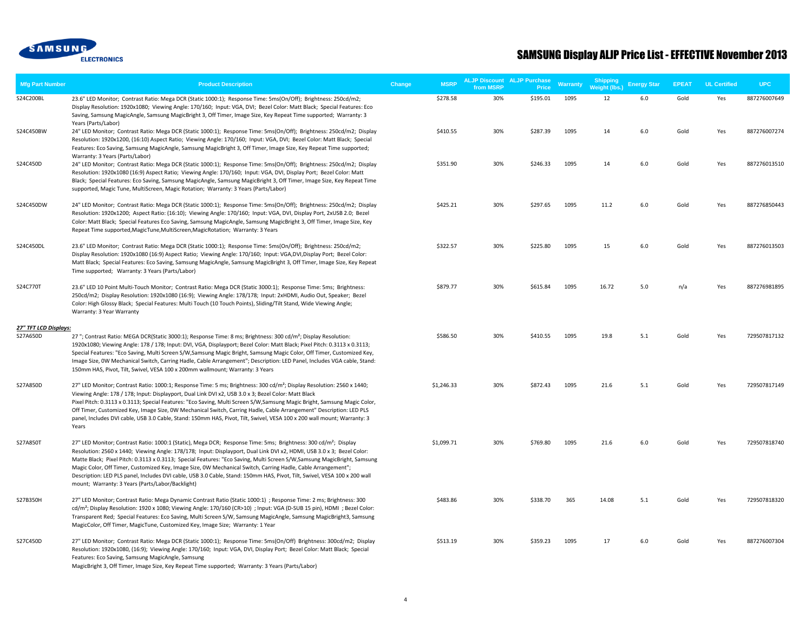

| <b>Mfg Part Number</b> | <b>Product Description</b>                                                                                                                                                                                                                                                                                                                                                                                                                                                                                                                                                                                                                                                         | Change | <b>MSRP</b> | <b>ALJP Discount ALJP Purchase</b><br>from MSRP | <b>Price</b> | <b>Warranty</b> | <b>Shipping</b><br>Weight (lbs.) | <b>Energy Star</b> | <b>EPEAT</b> | <b>UL Certified</b> | <b>UPC</b>   |
|------------------------|------------------------------------------------------------------------------------------------------------------------------------------------------------------------------------------------------------------------------------------------------------------------------------------------------------------------------------------------------------------------------------------------------------------------------------------------------------------------------------------------------------------------------------------------------------------------------------------------------------------------------------------------------------------------------------|--------|-------------|-------------------------------------------------|--------------|-----------------|----------------------------------|--------------------|--------------|---------------------|--------------|
| S24C200BL              | 23.6" LED Monitor; Contrast Ratio: Mega DCR (Static 1000:1); Response Time: 5ms(On/Off); Brightness: 250cd/m2;<br>Display Resolution: 1920x1080; Viewing Angle: 170/160; Input: VGA, DVI; Bezel Color: Matt Black; Special Features: Eco<br>Saving, Samsung MagicAngle, Samsung MagicBright 3, Off Timer, Image Size, Key Repeat Time supported; Warranty: 3<br>Years (Parts/Labor)                                                                                                                                                                                                                                                                                                |        | \$278.58    | 30%                                             | \$195.01     | 1095            | 12                               | 6.0                | Gold         | Yes                 | 887276007649 |
| S24C450BW              | 24" LED Monitor; Contrast Ratio: Mega DCR (Static 1000:1); Response Time: 5ms(On/Off); Brightness: 250cd/m2; Display<br>Resolution: 1920x1200, (16:10) Aspect Ratio; Viewing Angle: 170/160; Input: VGA, DVI; Bezel Color: Matt Black; Special<br>Features: Eco Saving, Samsung MagicAngle, Samsung MagicBright 3, Off Timer, Image Size, Key Repeat Time supported;<br>Warranty: 3 Years (Parts/Labor)                                                                                                                                                                                                                                                                            |        | \$410.55    | 30%                                             | \$287.39     | 1095            | 14                               | 6.0                | Gold         | Yes                 | 887276007274 |
| S24C450D               | 24" LED Monitor; Contrast Ratio: Mega DCR (Static 1000:1); Response Time: 5ms(On/Off); Brightness: 250cd/m2; Display<br>Resolution: 1920x1080 (16:9) Aspect Ratio; Viewing Angle: 170/160; Input: VGA, DVI, Display Port; Bezel Color: Matt<br>Black; Special Features: Eco Saving, Samsung MagicAngle, Samsung MagicBright 3, Off Timer, Image Size, Key Repeat Time<br>supported, Magic Tune, MultiScreen, Magic Rotation; Warranty: 3 Years (Parts/Labor)                                                                                                                                                                                                                       |        | \$351.90    | 30%                                             | \$246.33     | 1095            | 14                               | 6.0                | Gold         | Yes                 | 887276013510 |
| S24C450DW              | 24" LED Monitor; Contrast Ratio: Mega DCR (Static 1000:1); Response Time: 5ms(On/Off); Brightness: 250cd/m2; Display<br>Resolution: 1920x1200; Aspect Ratio: (16:10); Viewing Angle: 170/160; Input: VGA, DVI, Display Port, 2xUSB 2.0; Bezel<br>Color: Matt Black; Special Features Eco Saving, Samsung MagicAngle, Samsung MagicBright 3, Off Timer, Image Size, Key<br>Repeat Time supported, MagicTune, MultiScreen, MagicRotation; Warranty: 3 Years                                                                                                                                                                                                                          |        | \$425.21    | 30%                                             | \$297.65     | 1095            | 11.2                             | 6.0                | Gold         | Yes                 | 887276850443 |
| S24C450DL              | 23.6" LED Monitor; Contrast Ratio: Mega DCR (Static 1000:1); Response Time: 5ms(On/Off); Brightness: 250cd/m2;<br>Display Resolution: 1920x1080 (16:9) Aspect Ratio; Viewing Angle: 170/160; Input: VGA,DVI,Display Port; Bezel Color:<br>Matt Black; Special Features: Eco Saving, Samsung MagicAngle, Samsung MagicBright 3, Off Timer, Image Size, Key Repeat<br>Time supported; Warranty: 3 Years (Parts/Labor)                                                                                                                                                                                                                                                                |        | \$322.57    | 30%                                             | \$225.80     | 1095            | 15                               | 6.0                | Gold         | Yes                 | 887276013503 |
| S24C770T               | 23.6" LED 10 Point Multi-Touch Monitor; Contrast Ratio: Mega DCR (Static 3000:1); Response Time: 5ms; Brightness:<br>250cd/m2; Display Resolution: 1920x1080 (16:9); Viewing Angle: 178/178; Input: 2xHDMI, Audio Out, Speaker; Bezel<br>Color: High Glossy Black; Special Features: Multi Touch (10 Touch Points), Sliding/Tilt Stand, Wide Viewing Angle;<br>Warranty: 3 Year Warranty                                                                                                                                                                                                                                                                                           |        | \$879.77    | 30%                                             | \$615.84     | 1095            | 16.72                            | 5.0                | n/a          | Yes                 | 887276981895 |
| 27" TFT LCD Displays:  |                                                                                                                                                                                                                                                                                                                                                                                                                                                                                                                                                                                                                                                                                    |        |             |                                                 |              |                 |                                  |                    |              |                     |              |
| S27A650D               | 27 "; Contrast Ratio: MEGA DCR(Static 3000:1); Response Time: 8 ms; Brightness: 300 cd/m <sup>2</sup> ; Display Resolution:<br>1920x1080; Viewing Angle: 178 / 178; Input: DVI, VGA, Displayport; Bezel Color: Matt Black; Pixel Pitch: 0.3113 x 0.3113;<br>Special Features: "Eco Saving, Multi Screen S/W, Samsung Magic Bright, Samsung Magic Color, Off Timer, Customized Key,<br>Image Size, OW Mechanical Switch, Carring Hadle, Cable Arrangement"; Description: LED Panel, Includes VGA cable, Stand:<br>150mm HAS, Pivot, Tilt, Swivel, VESA 100 x 200mm wallmount; Warranty: 3 Years                                                                                     |        | \$586.50    | 30%                                             | \$410.55     | 1095            | 19.8                             | 5.1                | Gold         | Yes                 | 729507817132 |
| S27A850D               | 27" LED Monitor; Contrast Ratio: 1000:1; Response Time: 5 ms; Brightness: 300 cd/m <sup>2</sup> ; Display Resolution: 2560 x 1440;<br>Viewing Angle: 178 / 178; Input: Displayport, Dual Link DVI x2, USB 3.0 x 3; Bezel Color: Matt Black<br>Pixel Pitch: 0.3113 x 0.3113; Special Features: "Eco Saving, Multi Screen S/W, Samsung Magic Bright, Samsung Magic Color,<br>Off Timer, Customized Key, Image Size, OW Mechanical Switch, Carring Hadle, Cable Arrangement" Description: LED PLS<br>panel, Includes DVI cable, USB 3.0 Cable, Stand: 150mm HAS, Pivot, Tilt, Swivel, VESA 100 x 200 wall mount; Warranty: 3<br>Years                                                 |        | \$1,246.33  | 30%                                             | \$872.43     | 1095            | 21.6                             | 5.1                | Gold         | Yes                 | 729507817149 |
| S27A850T               | 27" LED Monitor; Contrast Ratio: 1000:1 (Static), Mega DCR; Response Time: 5ms; Brightness: 300 cd/m <sup>2</sup> ; Display<br>Resolution: 2560 x 1440; Viewing Angle: 178/178; Input: Displayport, Dual Link DVI x2, HDMI, USB 3.0 x 3; Bezel Color:<br>Matte Black; Pixel Pitch: 0.3113 x 0.3113; Special Features: "Eco Saving, Multi Screen S/W, Samsung MagicBright, Samsung<br>Magic Color, Off Timer, Customized Key, Image Size, OW Mechanical Switch, Carring Hadle, Cable Arrangement";<br>Description: LED PLS panel, Includes DVI cable, USB 3.0 Cable, Stand: 150mm HAS, Pivot, Tilt, Swivel, VESA 100 x 200 wall<br>mount; Warranty: 3 Years (Parts/Labor/Backlight) |        | \$1,099.71  | 30%                                             | \$769.80     | 1095            | 21.6                             | 6.0                | Gold         | Yes                 | 729507818740 |
| S27B350H               | 27" LED Monitor; Contrast Ratio: Mega Dynamic Contrast Ratio (Static 1000:1) ; Response Time: 2 ms; Brightness: 300<br>cd/m <sup>2</sup> ; Display Resolution: 1920 x 1080; Viewing Angle: 170/160 (CR>10) ; Input: VGA (D-SUB 15 pin), HDMI ; Bezel Color:<br>Transparent Red; Special Features: Eco Saving, Multi Screen S/W, Samsung MagicAngle, Samsung MagicBright3, Samsung<br>MagicColor, Off Timer, MagicTune, Customized Key, Image Size; Warranty: 1 Year                                                                                                                                                                                                                |        | \$483.86    | 30%                                             | \$338.70     | 365             | 14.08                            | 5.1                | Gold         | Yes                 | 729507818320 |
| S27C450D               | 27" LED Monitor; Contrast Ratio: Mega DCR (Static 1000:1); Response Time: 5ms(On/Off) Brightness: 300cd/m2; Display<br>Resolution: 1920x1080, (16:9); Viewing Angle: 170/160; Input: VGA, DVI, Display Port; Bezel Color: Matt Black; Special<br>Features: Eco Saving, Samsung MagicAngle, Samsung<br>MagicBright 3, Off Timer, Image Size, Key Repeat Time supported; Warranty: 3 Years (Parts/Labor)                                                                                                                                                                                                                                                                             |        | \$513.19    | 30%                                             | \$359.23     | 1095            | 17                               | 6.0                | Gold         | Yes                 | 887276007304 |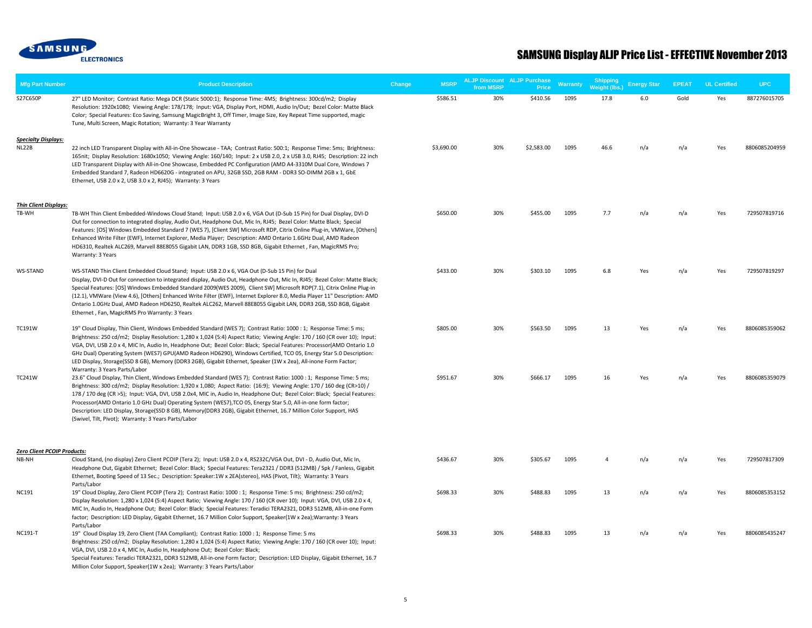

| Mfg Part Number                             | <b>Product Description</b>                                                                                                                                                                                                                                                                                                                                                                                                                                                                                                                                                                                                                                             | Change | <b>MSRP</b> | <b>ALJP Discount ALJP Purchase</b><br>from MSRP | Price      | <b>Warranty</b> | <b>Shipping</b><br><b>Weight (lbs.)</b> | <b>Energy Star</b> | <b>EPEAT</b> | <b>UL Certified</b> | <b>UPC</b>    |
|---------------------------------------------|------------------------------------------------------------------------------------------------------------------------------------------------------------------------------------------------------------------------------------------------------------------------------------------------------------------------------------------------------------------------------------------------------------------------------------------------------------------------------------------------------------------------------------------------------------------------------------------------------------------------------------------------------------------------|--------|-------------|-------------------------------------------------|------------|-----------------|-----------------------------------------|--------------------|--------------|---------------------|---------------|
| S27C650P                                    | 27" LED Monitor; Contrast Ratio: Mega DCR (Static 5000:1); Response Time: 4MS; Brightness: 300cd/m2; Display<br>Resolution: 1920x1080; Viewing Angle: 178/178; Input: VGA, Display Port, HDMI, Audio In/Out; Bezel Color: Matte Black<br>Color; Special Features: Eco Saving, Samsung MagicBright 3, Off Timer, Image Size, Key Repeat Time supported, magic<br>Tune, Multi Screen, Magic Rotation; Warranty: 3 Year Warranty                                                                                                                                                                                                                                          |        | \$586.51    | 30%                                             | \$410.56   | 1095            | 17.8                                    | 6.0                | Gold         | Yes                 | 887276015705  |
| <b>Specialty Displays:</b><br>NL22B         | 22 inch LED Transparent Display with All-in-One Showcase - TAA; Contrast Ratio: 500:1; Response Time: 5ms; Brightness:<br>165nit; Display Resolution: 1680x1050; Viewing Angle: 160/140; Input: 2 x USB 2.0, 2 x USB 3.0, RJ45; Description: 22 inch<br>LED Transparent Display with All-in-One Showcase, Embedded PC Configuration (AMD A4-3310M Dual Core, Windows 7<br>Embedded Standard 7, Radeon HD6620G - integrated on APU, 32GB SSD, 2GB RAM - DDR3 SO-DIMM 2GB x 1, GbE<br>Ethernet, USB 2.0 x 2, USB 3.0 x 2, RJ45); Warranty: 3 Years                                                                                                                       |        | \$3,690.00  | 30%                                             | \$2,583.00 | 1095            | 46.6                                    | n/a                | n/a          | Yes                 | 8806085204959 |
| <b>Thin Client Displays:</b>                |                                                                                                                                                                                                                                                                                                                                                                                                                                                                                                                                                                                                                                                                        |        |             |                                                 |            |                 |                                         |                    |              |                     |               |
| TB-WH                                       | TB-WH Thin Client Embedded-Windows Cloud Stand; Input: USB 2.0 x 6, VGA Out (D-Sub 15 Pin) for Dual Display, DVI-D<br>Out for connection to integrated display, Audio Out, Headphone Out, Mic In, RJ45; Bezel Color: Matte Black; Special<br>Features: [OS] Windows Embedded Standard 7 (WES 7), [Client SW] Microsoft RDP, Citrix Online Plug-in, VMWare, [Others]<br>Enhanced Write Filter (EWF), Internet Explorer, Media Player; Description: AMD Ontario 1.6GHz Dual, AMD Radeon<br>HD6310, Realtek ALC269, Marvell 88E8055 Gigabit LAN, DDR3 1GB, SSD 8GB, Gigabit Ethernet, Fan, MagicRMS Pro;<br>Warranty: 3 Years                                             |        | \$650.00    | 30%                                             | \$455.00   | 1095            | 7.7                                     | n/a                | n/a          | Yes                 | 729507819716  |
| WS-STAND                                    | WS-STAND Thin Client Embedded Cloud Stand; Input: USB 2.0 x 6, VGA Out (D-Sub 15 Pin) for Dual<br>Display, DVI-D Out for connection to integrated display, Audio Out, Headphone Out, Mic In, RJ45; Bezel Color: Matte Black;<br>Special Features: [OS] Windows Embedded Standard 2009(WES 2009), Client SW] Microsoft RDP(7.1), Citrix Online Plug-in<br>(12.1), VMWare (View 4.6), [Others] Enhanced Write Filter (EWF), Internet Explorer 8.0, Media Player 11" Description: AMD<br>Ontario 1.0GHz Dual, AMD Radeon HD6250, Realtek ALC262, Marvell 88E8055 Gigabit LAN, DDR3 2GB, SSD 8GB, Gigabit<br>Ethernet, Fan, MagicRMS Pro Warranty: 3 Years                 |        | \$433.00    | 30%                                             | \$303.10   | 1095            | 6.8                                     | Yes                | n/a          | Yes                 | 729507819297  |
| TC191W                                      | 19" Cloud Display, Thin Client, Windows Embedded Standard (WES 7); Contrast Ratio: 1000:1; Response Time: 5 ms;<br>Brightness: 250 cd/m2; Display Resolution: 1,280 x 1,024 (5:4) Aspect Ratio; Viewing Angle: 170 / 160 (CR over 10); Input:<br>VGA, DVI, USB 2.0 x 4, MIC In, Audio In, Headphone Out; Bezel Color: Black; Special Features: Processor(AMD Ontario 1.0<br>GHz Dual) Operating System (WES7) GPU(AMD Radeon HD6290), Windows Certified, TCO 05, Energy Star 5.0 Description:<br>LED Display, Storage(SSD 8 GB), Memory (DDR3 2GB), Gigabit Ethernet, Speaker (1W x 2ea), All-inone Form Factor;<br>Warranty: 3 Years Parts/Labor                      |        | \$805.00    | 30%                                             | \$563.50   | 1095            | 13                                      | Yes                | n/a          | Yes                 | 8806085359062 |
| TC241W                                      | 23.6" Cloud Display, Thin Client, Windows Embedded Standard (WES 7); Contrast Ratio: 1000: 1; Response Time: 5 ms;<br>Brightness: 300 cd/m2; Display Resolution: 1,920 x 1,080; Aspect Ratio: (16:9); Viewing Angle: 170 / 160 deg (CR>10) /<br>178 / 170 deg (CR >5); Input: VGA, DVI, USB 2.0x4, MIC in, Audio In, Headphone Out; Bezel Color: Black; Special Features:<br>Processor(AMD Ontario 1.0 GHz Dual) Operating System (WES7), TCO 05, Energy Star 5.0, All-in-one form factor;<br>Description: LED Display, Storage(SSD 8 GB), Memory(DDR3 2GB), Gigabit Ethernet, 16.7 Million Color Support, HAS<br>(Swivel, Tilt, Pivot); Warranty: 3 Years Parts/Labor |        | \$951.67    | 30%                                             | \$666.17   | 1095            | 16                                      | Yes                | n/a          | Yes                 | 8806085359079 |
|                                             |                                                                                                                                                                                                                                                                                                                                                                                                                                                                                                                                                                                                                                                                        |        |             |                                                 |            |                 |                                         |                    |              |                     |               |
| <b>Zero Client PCOIP Products:</b><br>NB-NH | Cloud Stand, (no display) Zero Client PCOIP (Tera 2); Input: USB 2.0 x 4, RS232C/VGA Out, DVI - D, Audio Out, Mic In,<br>Headphone Out, Gigabit Ethernet; Bezel Color: Black; Special Features: Tera2321 / DDR3 (512MB) / Spk / Fanless, Gigabit<br>Ethernet, Booting Speed of 13 Sec.; Description: Speaker:1W x 2EA(stereo), HAS (Pivot, Tilt); Warranty: 3 Years                                                                                                                                                                                                                                                                                                    |        | \$436.67    | 30%                                             | \$305.67   | 1095            |                                         | n/a                | n/a          | Yes                 | 729507817309  |
| NC191                                       | Parts/Labor<br>19" Cloud Display, Zero Client PCOIP (Tera 2); Contrast Ratio: 1000 : 1; Response Time: 5 ms; Brightness: 250 cd/m2;<br>Display Resolution: 1,280 x 1,024 (5:4) Aspect Ratio; Viewing Angle: 170 / 160 (CR over 10); Input: VGA, DVI, USB 2.0 x 4,<br>MIC In, Audio In, Headphone Out; Bezel Color: Black; Special Features: Teradici TERA2321, DDR3 512MB, All-in-one Form<br>factor; Description: LED Display, Gigabit Ethernet, 16.7 Million Color Support, Speaker(1W x 2ea); Warranty: 3 Years<br>Parts/Labor                                                                                                                                      |        | \$698.33    | 30%                                             | \$488.83   | 1095            | 13                                      | n/a                | n/a          | Yes                 | 8806085353152 |
| NC191-T                                     | 19" Cloud Display 19, Zero Client (TAA Compliant); Contrast Ratio: 1000 : 1; Response Time: 5 ms<br>Brightness: 250 cd/m2; Display Resolution: 1,280 x 1,024 (5:4) Aspect Ratio; Viewing Angle: 170 / 160 (CR over 10); Input:<br>VGA, DVI, USB 2.0 x 4, MIC In, Audio In, Headphone Out; Bezel Color: Black;<br>Special Features: Teradici TERA2321, DDR3 512MB, All-in-one Form factor; Description: LED Display, Gigabit Ethernet, 16.7<br>Million Color Support, Speaker(1W x 2ea); Warranty: 3 Years Parts/Labor                                                                                                                                                  |        | \$698.33    | 30%                                             | \$488.83   | 1095            | 13                                      | n/a                | n/a          | Yes                 | 8806085435247 |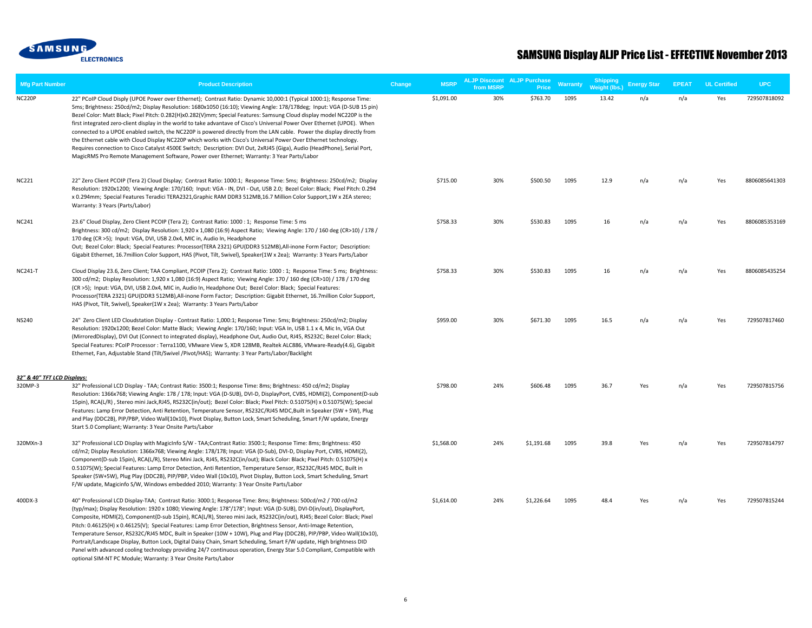

| <b>Mfg Part Number</b>      | <b>Product Description</b>                                                                                                                                                                                                                                                                                                                                                                                                                                                                                                                                                                                                                                                                                                                                                                                                                                                                                                                                                   | Change | <b>MSRP</b> | <b>ALJP Discount ALJP Purchase</b><br>from MSRP | Price      | Warranty | <b>Shipping</b><br><b>Weight (lbs.)</b> | <b>Energy Star</b> | <b>EPEAT</b> | <b>UL Certified</b> | <b>UPC</b>    |
|-----------------------------|------------------------------------------------------------------------------------------------------------------------------------------------------------------------------------------------------------------------------------------------------------------------------------------------------------------------------------------------------------------------------------------------------------------------------------------------------------------------------------------------------------------------------------------------------------------------------------------------------------------------------------------------------------------------------------------------------------------------------------------------------------------------------------------------------------------------------------------------------------------------------------------------------------------------------------------------------------------------------|--------|-------------|-------------------------------------------------|------------|----------|-----------------------------------------|--------------------|--------------|---------------------|---------------|
| NC220P                      | 22" PCoIP Cloud Disply (UPOE Power over Ethernet); Contrast Ratio: Dynamic 10,000:1 (Typical 1000:1); Response Time:<br>5ms; Brightness: 250cd/m2; Display Resolution: 1680x1050 (16:10); Viewing Angle: 178/178deg; Input: VGA (D-SUB 15 pin)<br>Bezel Color: Matt Black; Pixel Pitch: 0.282(H)x0.282(V)mm; Special Features: Samsung Cloud display model NC220P is the<br>first integrated zero-client display in the world to take advantave of Cisco's Universal Power Over Ethernet (UPOE). When<br>connected to a UPOE enabled switch, the NC220P is powered directly from the LAN cable. Power the display directly from<br>the Ethernet cable with Cloud Display NC220P which works with Cisco's Universal Power Over Ethernet technology.<br>Requires connection to Cisco Catalyst 4500E Switch; Description: DVI Out, 2xRJ45 (Giga), Audio (HeadPhone), Serial Port,<br>MagicRMS Pro Remote Management Software, Power over Ethernet; Warranty: 3 Year Parts/Labor |        | \$1,091.00  | 30%                                             | \$763.70   | 1095     | 13.42                                   | n/a                | n/a          | Yes                 | 729507818092  |
| <b>NC221</b>                | 22" Zero Client PCOIP (Tera 2) Cloud Display; Contrast Ratio: 1000:1; Response Time: 5ms; Brightness: 250cd/m2; Display<br>Resolution: 1920x1200; Viewing Angle: 170/160; Input: VGA - IN, DVI - Out, USB 2.0; Bezel Color: Black; Pixel Pitch: 0.294<br>x 0.294mm; Special Features Teradici TERA2321, Graphic RAM DDR3 512MB, 16.7 Million Color Support, 1W x 2EA stereo;<br>Warranty: 3 Years (Parts/Labor)                                                                                                                                                                                                                                                                                                                                                                                                                                                                                                                                                              |        | \$715.00    | 30%                                             | \$500.50   | 1095     | 12.9                                    | n/a                | n/a          | Yes                 | 8806085641303 |
| <b>NC241</b>                | 23.6" Cloud Display, Zero Client PCOIP (Tera 2); Contrast Ratio: 1000 : 1; Response Time: 5 ms<br>Brightness: 300 cd/m2; Display Resolution: 1,920 x 1,080 (16:9) Aspect Ratio; Viewing Angle: 170 / 160 deg (CR>10) / 178 /<br>170 deg (CR >5); Input: VGA, DVI, USB 2.0x4, MIC in, Audio In, Headphone<br>Out; Bezel Color: Black; Special Features: Processor(TERA 2321) GPU(DDR3 512MB), All-inone Form Factor; Description:<br>Gigabit Ethernet, 16.7million Color Support, HAS (Pivot, Tilt, Swivel), Speaker(1W x 2ea); Warranty: 3 Years Parts/Labor                                                                                                                                                                                                                                                                                                                                                                                                                 |        | \$758.33    | 30%                                             | \$530.83   | 1095     | 16                                      | n/a                | n/a          | Yes                 | 8806085353169 |
| <b>NC241-T</b>              | Cloud Display 23.6, Zero Client; TAA Compliant, PCOIP (Tera 2); Contrast Ratio: 1000:1; Response Time: 5 ms; Brightness:<br>300 cd/m2; Display Resolution: 1,920 x 1,080 (16:9) Aspect Ratio; Viewing Angle: 170 / 160 deg (CR>10) / 178 / 170 deg<br>(CR >5); Input: VGA, DVI, USB 2.0x4, MIC in, Audio In, Headphone Out; Bezel Color: Black; Special Features:<br>Processor(TERA 2321) GPU(DDR3 512MB), All-inone Form Factor; Description: Gigabit Ethernet, 16.7million Color Support,<br>HAS (Pivot, Tilt, Swivel), Speaker(1W x 2ea); Warranty: 3 Years Parts/Labor                                                                                                                                                                                                                                                                                                                                                                                                   |        | \$758.33    | 30%                                             | \$530.83   | 1095     | 16                                      | n/a                | n/a          | Yes                 | 8806085435254 |
| <b>NS240</b>                | 24" Zero Client LED Cloudstation Display - Contrast Ratio: 1,000:1; Response Time: 5ms; Brightness: 250cd/m2; Display<br>Resolution: 1920x1200; Bezel Color: Matte Black; Viewing Angle: 170/160; Input: VGA In, USB 1.1 x 4, Mic In, VGA Out<br>(MirroredDisplay), DVI Out (Connect to integrated display), Headphone Out, Audio Out, RJ45, RS232C; Bezel Color: Black;<br>Special Features: PCoIP Processor: Terra1100, VMware View 5, XDR 128MB, Realtek ALC886, VMware-Ready(4.6), Gigabit<br>Ethernet, Fan, Adjustable Stand (Tilt/Swivel /Pivot/HAS); Warranty: 3 Year Parts/Labor/Backlight                                                                                                                                                                                                                                                                                                                                                                           |        | \$959.00    | 30%                                             | \$671.30   | 1095     | 16.5                                    | n/a                | n/a          | Yes                 | 729507817460  |
| 32" & 40" TFT LCD Displays: |                                                                                                                                                                                                                                                                                                                                                                                                                                                                                                                                                                                                                                                                                                                                                                                                                                                                                                                                                                              |        |             |                                                 |            |          |                                         |                    |              |                     |               |
| 320MP-3                     | 32" Professional LCD Display - TAA; Contrast Ratio: 3500:1; Response Time: 8ms; Brightness: 450 cd/m2; Display<br>Resolution: 1366x768; Viewing Angle: 178 / 178; Input: VGA (D-SUB), DVI-D, DisplayPort, CVBS, HDMI(2), Component(D-sub<br>15pin), RCA(L/R), Stereo mini Jack, RJ45, RS232C(in/out); Bezel Color: Black; Pixel Pitch: 0.51075(H) x 0.51075(W); Special<br>Features: Lamp Error Detection, Anti Retention, Temperature Sensor, RS232C/RJ45 MDC,Built in Speaker (5W + 5W), Plug<br>and Play (DDC2B), PIP/PBP, Video Wall(10x10), Pivot Display, Button Lock, Smart Scheduling, Smart F/W update, Energy<br>Start 5.0 Compliant; Warranty: 3 Year Onsite Parts/Labor                                                                                                                                                                                                                                                                                          |        | \$798.00    | 24%                                             | \$606.48   | 1095     | 36.7                                    | Yes                | n/a          | Yes                 | 729507815756  |
| 320MXn-3                    | 32" Professional LCD Display with MagicInfo S/W - TAA;Contrast Ratio: 3500:1; Response Time: 8ms; Brightness: 450<br>cd/m2; Display Resolution: 1366x768; Viewing Angle: 178/178; Input: VGA (D-Sub), DVI-D, Display Port, CVBS, HDMI(2),<br>Component(D-sub 15pin), RCA(L/R), Stereo Mini Jack, RJ45, RS232C(in/out); Black Color: Black; Pixel Pitch: 0.51075(H) x<br>0.51075(W); Special Features: Lamp Error Detection, Anti Retention, Temperature Sensor, RS232C/RJ45 MDC, Built in<br>Speaker (5W+5W), Plug Play (DDC2B), PIP/PBP, Video Wall (10x10), Pivot Display, Button Lock, Smart Scheduling, Smart<br>F/W update, Magicinfo S/W, Windows embedded 2010; Warranty: 3 Year Onsite Parts/Labor                                                                                                                                                                                                                                                                   |        | \$1,568.00  | 24%                                             | \$1,191.68 | 1095     | 39.8                                    | Yes                | n/a          | Yes                 | 729507814797  |
| 400DX-3                     | 40" Professional LCD Display-TAA; Contrast Ratio: 3000:1; Response Time: 8ms; Brightness: 500cd/m2 / 700 cd/m2<br>(typ/max); Display Resolution: 1920 x 1080; Viewing Angle: 178°/178°; Input: VGA (D-SUB), DVI-D(in/out), DisplayPort,<br>Composite, HDMI(2), Component(D-sub 15pin), RCA(L/R), Stereo mini Jack, RS232C(in/out), RJ45; Bezel Color: Black; Pixel<br>Pitch: 0.46125(H) x 0.46125(V); Special Features: Lamp Error Detection, Brightness Sensor, Anti-Image Retention,<br>Temperature Sensor, RS232C/RJ45 MDC, Built in Speaker (10W + 10W), Plug and Play (DDC2B), PIP/PBP, Video Wall(10x10),<br>Portrait/Landscape Display, Button Lock, Digital Daisy Chain, Smart Scheduling, Smart F/W update, High brightness DID<br>Panel with advanced cooling technology providing 24/7 continuous operation, Energy Star 5.0 Compliant, Compatible with<br>optional SIM-NT PC Module; Warranty: 3 Year Onsite Parts/Labor                                         |        | \$1,614.00  | 24%                                             | \$1,226.64 | 1095     | 48.4                                    | Yes                | n/a          | Yes                 | 729507815244  |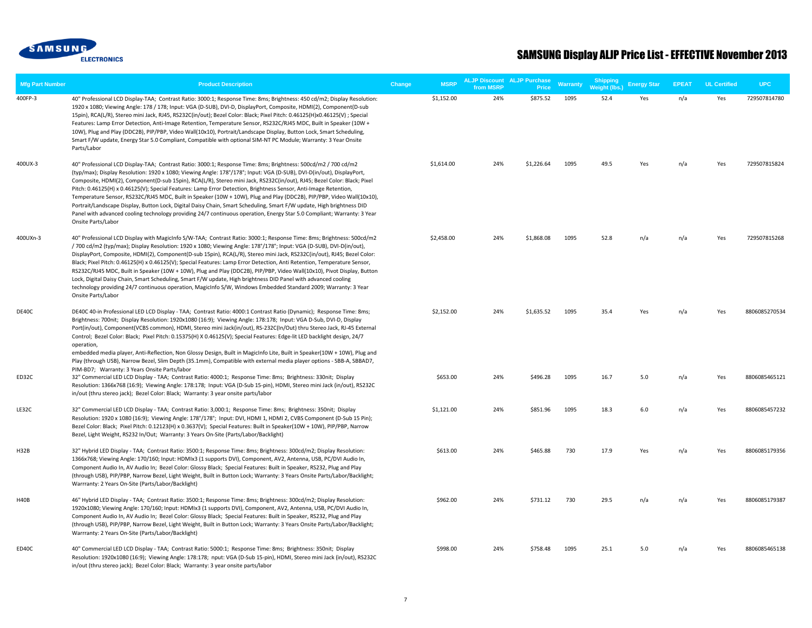

| <b>Mfg Part Number</b> | <b>Product Description</b>                                                                                                                                                                                                                                                                                                                                                                                                                                                                                                                                                                                                                                                                                                                                                                                                                                                                 | Change | <b>MSRP</b> | <b>ALJP Discount ALJP Purchase</b><br>from MSRP | <b>Price</b> | <b>Warranty</b> | <b>Shipping</b><br>Weight (lbs.) | <b>Energy Star</b> | <b>EPEAT</b> | <b>UL Certified</b> | <b>UPC</b>    |
|------------------------|--------------------------------------------------------------------------------------------------------------------------------------------------------------------------------------------------------------------------------------------------------------------------------------------------------------------------------------------------------------------------------------------------------------------------------------------------------------------------------------------------------------------------------------------------------------------------------------------------------------------------------------------------------------------------------------------------------------------------------------------------------------------------------------------------------------------------------------------------------------------------------------------|--------|-------------|-------------------------------------------------|--------------|-----------------|----------------------------------|--------------------|--------------|---------------------|---------------|
| 400FP-3                | 40" Professional LCD Display-TAA; Contrast Ratio: 3000:1; Response Time: 8ms; Brightness: 450 cd/m2; Display Resolution:<br>1920 x 1080; Viewing Angle: 178 / 178; Input: VGA (D-SUB), DVI-D, DisplayPort, Composite, HDMI(2), Component(D-sub<br>15pin), RCA(L/R), Stereo mini Jack, RJ45, RS232C(in/out); Bezel Color: Black; Pixel Pitch: 0.46125(H)x0.46125(V); Special<br>Features: Lamp Error Detection, Anti-Image Retention, Temperature Sensor, RS232C/RJ45 MDC, Built in Speaker (10W +<br>10W), Plug and Play (DDC2B), PIP/PBP, Video Wall(10x10), Portrait/Landscape Display, Button Lock, Smart Scheduling,<br>Smart F/W update, Energy Star 5.0 Compliant, Compatible with optional SIM-NT PC Module; Warranty: 3 Year Onsite<br>Parts/Labor                                                                                                                                 |        | \$1,152.00  | 24%                                             | \$875.52     | 1095            | 52.4                             | Yes                | n/a          | Yes                 | 729507814780  |
| 400UX-3                | 40" Professional LCD Display-TAA; Contrast Ratio: 3000:1; Response Time: 8ms; Brightness: 500cd/m2 / 700 cd/m2<br>(typ/max); Display Resolution: 1920 x 1080; Viewing Angle: 178°/178°; Input: VGA (D-SUB), DVI-D(in/out), DisplayPort,<br>Composite, HDMI(2), Component(D-sub 15pin), RCA(L/R), Stereo mini Jack, RS232C(in/out), RJ45; Bezel Color: Black; Pixel<br>Pitch: 0.46125(H) x 0.46125(V); Special Features: Lamp Error Detection, Brightness Sensor, Anti-Image Retention,<br>Temperature Sensor, RS232C/RJ45 MDC, Built in Speaker (10W + 10W), Plug and Play (DDC2B), PIP/PBP, Video Wall(10x10),<br>Portrait/Landscape Display, Button Lock, Digital Daisy Chain, Smart Scheduling, Smart F/W update, High brightness DID<br>Panel with advanced cooling technology providing 24/7 continuous operation, Energy Star 5.0 Compliant; Warranty: 3 Year<br>Onsite Parts/Labor  |        | \$1,614.00  | 24%                                             | \$1,226.64   | 1095            | 49.5                             | Yes                | n/a          | Yes                 | 729507815824  |
| 400UXn-3               | 40" Professional LCD Display with MagicInfo S/W-TAA; Contrast Ratio: 3000:1; Response Time: 8ms; Brightness: 500cd/m2<br>/ 700 cd/m2 (typ/max); Display Resolution: 1920 x 1080; Viewing Angle: 178°/178°; Input: VGA (D-SUB), DVI-D(in/out),<br>DisplayPort, Composite, HDMI(2), Component(D-sub 15pin), RCA(L/R), Stereo mini Jack, RS232C(in/out), RJ45; Bezel Color:<br>Black; Pixel Pitch: 0.46125(H) x 0.46125(V); Special Features: Lamp Error Detection, Anti Retention, Temperature Sensor,<br>RS232C/RJ45 MDC, Built in Speaker (10W + 10W), Plug and Play (DDC2B), PIP/PBP, Video Wall(10x10), Pivot Display, Button<br>Lock, Digital Daisy Chain, Smart Scheduling, Smart F/W update, High brightness DID Panel with advanced cooling<br>technology providing 24/7 continuous operation, MagicInfo S/W, Windows Embedded Standard 2009; Warranty: 3 Year<br>Onsite Parts/Labor |        | \$2,458.00  | 24%                                             | \$1,868.08   | 1095            | 52.8                             | n/a                | n/a          | Yes                 | 729507815268  |
| DE40C                  | DE40C 40-in Professional LED LCD Display - TAA; Contrast Ratio: 4000:1 Contrast Ratio (Dynamic); Response Time: 8ms;<br>Brightness: 700nit; Display Resolution: 1920x1080 (16:9); Viewing Angle: 178:178; Input: VGA D-Sub, DVI-D, Display<br>Port(in/out), Component(VCBS common), HDMI, Stereo mini Jack(in/out), RS-232C(In/Out) thru Stereo Jack, RJ-45 External<br>Control; Bezel Color: Black; Pixel Pitch: 0.15375(H) X 0.46125(V); Special Features: Edge-lit LED backlight design, 24/7<br>operation,<br>embedded media player, Anti-Reflection, Non Glossy Design, Built in MagicInfo Lite, Built in Speaker(10W + 10W), Plug and<br>Play (through USB), Narrow Bezel, Slim Depth (35.1mm), Compatible with external media player options - SBB-A, SBBAD7,                                                                                                                       |        | \$2,152.00  | 24%                                             | \$1,635.52   | 1095            | 35.4                             | Yes                | n/a          | Yes                 | 8806085270534 |
| ED32C                  | PIM-BD7; Warranty: 3 Years Onsite Parts/labor<br>32" Commercial LED LCD Display - TAA; Contrast Ratio: 4000:1; Response Time: 8ms; Brightness: 330nit; Display<br>Resolution: 1366x768 (16:9); Viewing Angle: 178:178; Input: VGA (D-Sub 15-pin), HDMI, Stereo mini Jack (in/out), RS232C<br>in/out (thru stereo jack); Bezel Color: Black; Warranty: 3 year onsite parts/labor                                                                                                                                                                                                                                                                                                                                                                                                                                                                                                            |        | \$653.00    | 24%                                             | \$496.28     | 1095            | 16.7                             | 5.0                | n/a          | Yes                 | 8806085465121 |
| LE32C                  | 32" Commercial LED LCD Display - TAA; Contrast Ratio: 3,000:1; Response Time: 8ms; Brightness: 350nit; Display<br>Resolution: 1920 x 1080 (16:9); Viewing Angle: 178°/178°; Input: DVI, HDMI 1, HDMI 2, CVBS Component (D-Sub 15 Pin);<br>Bezel Color: Black; Pixel Pitch: 0.12123(H) x 0.3637(V); Special Features: Built in Speaker(10W + 10W), PIP/PBP, Narrow<br>Bezel, Light Weight, RS232 In/Out; Warranty: 3 Years On-Site (Parts/Labor/Backlight)                                                                                                                                                                                                                                                                                                                                                                                                                                  |        | \$1,121.00  | 24%                                             | \$851.96     | 1095            | 18.3                             | 6.0                | n/a          | Yes                 | 8806085457232 |
| H32B                   | 32" Hybrid LED Display - TAA; Contrast Ratio: 3500:1; Response Time: 8ms; Brightness: 300cd/m2; Display Resolution:<br>1366x768; Viewing Angle: 170/160; Input: HDMIx3 (1 supports DVI), Component, AV2, Antenna, USB, PC/DVI Audio In,<br>Component Audio In, AV Audio In; Bezel Color: Glossy Black; Special Features: Built in Speaker, RS232, Plug and Play<br>(through USB), PIP/PBP, Narrow Bezel, Light Weight, Built in Button Lock; Warranty: 3 Years Onsite Parts/Labor/Backlight;<br>Warrranty: 2 Years On-Site (Parts/Labor/Backlight)                                                                                                                                                                                                                                                                                                                                         |        | \$613.00    | 24%                                             | \$465.88     | 730             | 17.9                             | Yes                | n/a          | Yes                 | 8806085179356 |
| <b>H40B</b>            | 46" Hybrid LED Display - TAA; Contrast Ratio: 3500:1; Response Time: 8ms; Brightness: 300cd/m2; Display Resolution:<br>1920x1080; Viewing Angle: 170/160; Input: HDMIx3 (1 supports DVI), Component, AV2, Antenna, USB, PC/DVI Audio In,<br>Component Audio In, AV Audio In; Bezel Color: Glossy Black; Special Features: Built in Speaker, RS232, Plug and Play<br>(through USB), PIP/PBP, Narrow Bezel, Light Weight, Built in Button Lock; Warranty: 3 Years Onsite Parts/Labor/Backlight;<br>Warrranty: 2 Years On-Site (Parts/Labor/Backlight)                                                                                                                                                                                                                                                                                                                                        |        | \$962.00    | 24%                                             | \$731.12     | 730             | 29.5                             | n/a                | n/a          | Yes                 | 8806085179387 |
| ED40C                  | 40" Commercial LED LCD Display - TAA; Contrast Ratio: 5000:1; Response Time: 8ms; Brightness: 350nit; Display<br>Resolution: 1920x1080 (16:9); Viewing Angle: 178:178; nput: VGA (D-Sub 15-pin), HDMI, Stereo mini Jack (in/out), RS232C<br>in/out (thru stereo jack); Bezel Color: Black; Warranty: 3 year onsite parts/labor                                                                                                                                                                                                                                                                                                                                                                                                                                                                                                                                                             |        | \$998.00    | 24%                                             | \$758.48     | 1095            | 25.1                             | 5.0                | n/a          | Yes                 | 8806085465138 |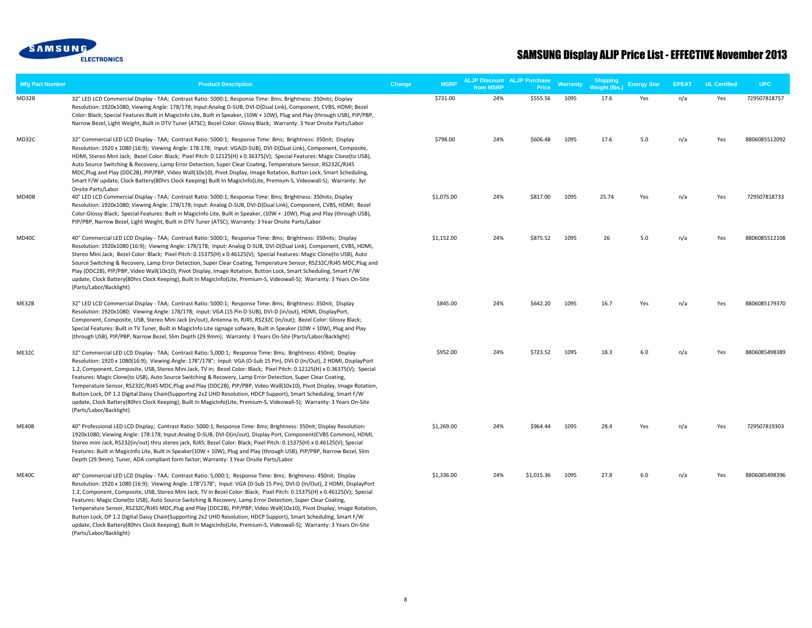

| <b>Mfg Part Number</b> | <b>Product Description</b>                                                                                                                                                                                                                                                                                                                                                                                                                                                                                                                                                                                                                                                                                                                                                                                                                                                                 | <b>MSRP</b><br>Change | from MSRP | <b>ALJP Discount ALJP Purchase</b><br>Price | Warranty | <b>Shipping</b><br>Weight (lbs.) | <b>Energy Star</b> | <b>EPEAT</b> | <b>UL Certified</b> | <b>UPC</b>    |
|------------------------|--------------------------------------------------------------------------------------------------------------------------------------------------------------------------------------------------------------------------------------------------------------------------------------------------------------------------------------------------------------------------------------------------------------------------------------------------------------------------------------------------------------------------------------------------------------------------------------------------------------------------------------------------------------------------------------------------------------------------------------------------------------------------------------------------------------------------------------------------------------------------------------------|-----------------------|-----------|---------------------------------------------|----------|----------------------------------|--------------------|--------------|---------------------|---------------|
| MD32B                  | 32" LED LCD Commercial Display - TAA; Contrast Ratio: 5000:1; Response Time: 8ms; Brightness: 350nits; Display<br>Resolution: 1920x1080; Viewing Angle: 178/178; Input:Analog D-SUB, DVI-D(Dual Link), Component, CVBS, HDMI; Bezel<br>Color: Black; Special Features: Built in MagicInfo Lite, Built in Speaker, (10W + 10W), Plug and Play (through USB), PIP/PBP,<br>Narrow Bezel, Light Weight, Built in DTV Tuner (ATSC); Bezel Color: Glossy Black; Warranty: 3 Year Onsite Parts/Labor                                                                                                                                                                                                                                                                                                                                                                                              | \$731.00              | 24%       | \$555.56                                    | 1095     | 17.6                             | Yes                | n/a          | Yes                 | 729507818757  |
| MD32C                  | 32" Commercial LED LCD Display - TAA; Contrast Ratio: 5000:1; Response Time: 8ms; Brightness: 350nit; Display<br>Resolution: 1920 x 1080 (16:9); Viewing Angle: 178:178; Input: VGA(D-SUB), DVI-D(Dual Link), Component, Composite,<br>HDMI, Stereo Mini Jack; Bezel Color: Black; Pixel Pitch: 0.12125(H) x 0.36375(V); Special Features: Magic Clone(to USB),<br>Auto Source Switching & Recovery, Lamp Error Detection, Super Clear Coating, Temperature Sensor, RS232C/RJ45<br>MDC, Plug and Play (DDC2B), PIP/PBP, Video Wall(10x10), Pivot Display, Image Rotation, Button Lock, Smart Scheduling,<br>Smart F/W update, Clock Battery(80hrs Clock Keeping) Built In MagicInfo(Lite, Premium-S, Videowall-S); Warranty: 3yr<br>Onsite Parts/Labor                                                                                                                                     | \$798.00              | 24%       | \$606.48                                    | 1095     | 17.6                             | 5.0                | n/a          | Yes                 | 8806085512092 |
| MD40B                  | 40" LED LCD Commercial Display - TAA; Contrast Ratio: 5000:1; Response Time: 8ms; Brightness: 350nits; Display<br>Resolution: 1920x1080; Viewing Angle: 178/178; Input: Analog D-SUB, DVI-D(Dual Link), Component, CVBS, HDMI; Bezel<br>Color:Glossy Black; Special Features: Built in MagicInfo Lite, Built in Speaker, (10W + 10W), Plug and Play (through USB),<br>PIP/PBP, Narrow Bezel, Light Weight, Built in DTV Tuner (ATSC); Warranty: 3 Year Onsite Parts/Labor                                                                                                                                                                                                                                                                                                                                                                                                                  | \$1,075.00            | 24%       | \$817.00                                    | 1095     | 25.74                            | Yes                | n/a          | Yes                 | 729507818733  |
| MD40C                  | 40" Commercial LED LCD Display - TAA; Contrast Ratio: 5000:1; Response Time: 8ms; Brightness: 350nits; Display<br>Resolution: 1920x1080 (16:9); Viewing Angle: 178/178; Input: Analog D-SUB, DVI-D(Dual Link), Component, CVBS, HDMI,<br>Stereo Mini Jack; Bezel Color: Black; Pixel Pitch: 0.15375(H) x 0.46125(V); Special Features: Magic Clone(to USB), Auto<br>Source Switching & Recovery, Lamp Error Detection, Super Clear Coating, Temperature Sensor, RS232C/RJ45 MDC,Plug and<br>Play (DDC2B), PIP/PBP, Video Wall(10x10), Pivot Display, Image Rotation, Button Lock, Smart Scheduling, Smart F/W<br>update, Clock Battery(80hrs Clock Keeping), Built In MagicInfo(Lite, Premium-S, Videowall-S); Warranty: 3 Years On-Site<br>(Parts/Labor/Backlight)                                                                                                                        | \$1,152.00            | 24%       | \$875.52                                    | 1095     | 26                               | 5.0                | n/a          | Yes                 | 8806085512108 |
| ME32B                  | 32" LED LCD Commercial Display - TAA; Contrast Ratio: 5000:1; Response Time: 8ms; Brightness: 350nit; Display<br>Resolution: 1920x1080; Viewing Angle: 178/178; Input: VGA (15 Pin D-SUB), DVI-D (in/out), HDMI, DisplayPort,<br>Component, Composite, USB, Stereo Mini Jack (in/out), Antenna In, RJ45, RS232C (in/out); Bezel Color: Glossy Black;<br>Special Features: Built in TV Tuner, Built in MagicInfo Lite signage sofware, Built in Speaker (10W + 10W), Plug and Play<br>(through USB), PIP/PBP, Narrow Bezel, Slim Depth (29.9mm); Warranty: 3 Years On-Site (Parts/Labor/Backlight)                                                                                                                                                                                                                                                                                          | \$845.00              | 24%       | \$642.20                                    | 1095     | 16.7                             | Yes                | n/a          | Yes                 | 8806085179370 |
| ME32C                  | 32" Commercial LED LCD Display - TAA; Contrast Ratio: 5,000:1; Response Time: 8ms; Brightness: 450nit; Display<br>Resolution: 1920 x 1080(16:9); Viewing Angle: 178°/178°; Input: VGA (D-Sub 15 Pin), DVI-D (In/Out), 2 HDMI, DisplayPort<br>1.2, Component, Composite, USB, Stereo Mini Jack, TV in; Bezel Color: Black; Pixel Pitch: 0.12125(H) x 0.36375(V); Special<br>Features: Magic Clone(to USB), Auto Source Switching & Recovery, Lamp Error Detection, Super Clear Coating,<br>Temperature Sensor, RS232C/RJ45 MDC,Plug and Play (DDC2B), PIP/PBP, Video Wall(10x10), Pivot Display, Image Rotation,<br>Button Lock, DP 1.2 Digital Daisy Chain(Supporting 2x2 UHD Resolution, HDCP Support), Smart Scheduling, Smart F/W<br>update, Clock Battery(80hrs Clock Keeping), Built In MagicInfo(Lite, Premium-S, Videowall-S); Warranty: 3 Years On-Site<br>(Parts/Labor/Backlight) | \$952.00              | 24%       | \$723.52                                    | 1095     | 18.3                             | 6.0                | n/a          | Yes                 | 8806085498389 |
| ME40B                  | 40" Professional LED LCD Display; Contrast Ratio: 5000:1; Response Time: 8ms; Brightness: 350nit; Display Resolution:<br>1920x1080; Viewing Angle: 178:178; Input:Analog D-SUB, DVI-D(in/out), Display Port, Component(CVBS Common), HDMI,<br>Stereo mini Jack, RS232(in/out) thru stereo jack, RJ45; Bezel Color: Black; Pixel Pitch: 0.15375(H) x 0.46125(V); Special<br>Features: Built in MagicInfo Lite, Built in Speaker(10W + 10W), Plug and Play (through USB), PIP/PBP, Narrow Bezel, Slim<br>Depth (29.9mm), Tuner, ADA compliant form factor; Warranty: 3 Year Onsite Parts/Labor                                                                                                                                                                                                                                                                                               | \$1,269.00            | 24%       | \$964.44                                    | 1095     | 28.4                             | Yes                | n/a          | Yes                 | 729507819303  |
| ME40C                  | 40" Commercial LED LCD Display - TAA; Contrast Ratio: 5,000:1; Response Time: 8ms; Brightness: 450nit; Display<br>Resolution: 1920 x 1080 (16:9); Viewing Angle: 178°/178°; Input: VGA (D-Sub 15 Pin), DVI-D (In/Out), 2 HDMI, DisplayPort<br>1.2, Component, Composite, USB, Stereo Mini Jack, TV in Bezel Color: Black; Pixel Pitch: 0.15375(H) x 0.46125(V); Special<br>Features: Magic Clone(to USB), Auto Source Switching & Recovery, Lamp Error Detection, Super Clear Coating,<br>Temperature Sensor, RS232C/RJ45 MDC,Plug and Play (DDC2B), PIP/PBP, Video Wall(10x10), Pivot Display, Image Rotation,<br>Button Lock, DP 1.2 Digital Daisy Chain(Supporting 2x2 UHD Resolution, HDCP Support), Smart Scheduling, Smart F/W<br>update, Clock Battery(80hrs Clock Keeping), Built In MagicInfo(Lite, Premium-S, Videowall-S); Warranty: 3 Years On-Site<br>(Parts/Labor/Backlight) | \$1,336.00            | 24%       | \$1,015.36                                  | 1095     | 27.8                             | 6.0                | n/a          | Yes                 | 8806085498396 |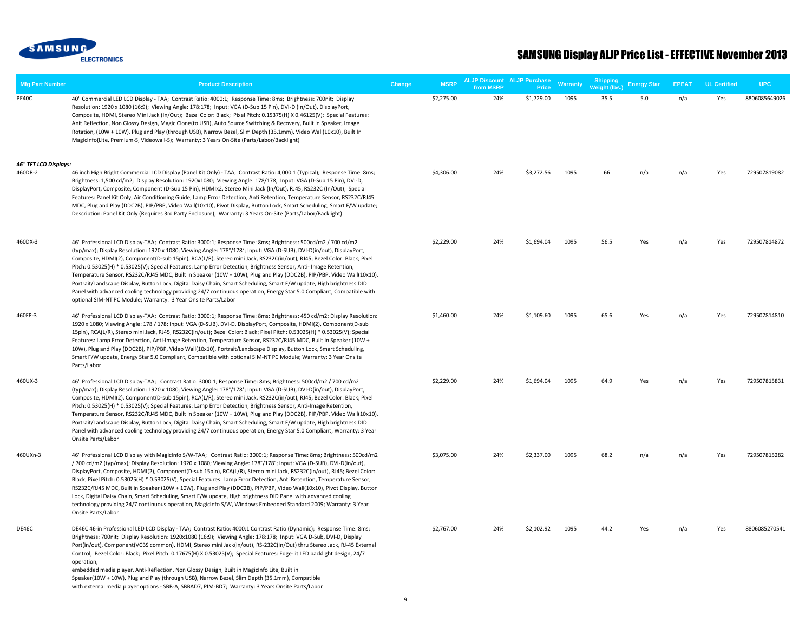

| <b>Mfg Part Number</b>           | <b>Product Description</b>                                                                                                                                                                                                                                                                                                                                                                                                                                                                                                                                                                                                                                                                                                                                                                                                                                                                                                            | Change | <b>MSRP</b> | from MSRP | <b>ALJP Discount ALJP Purchase</b><br>Price | <b>Warranty</b> | <b>Shipping</b><br>Weight (lbs.) | <b>Energy Star</b> | <b>EPEAT</b> | <b>UL Certified</b> | <b>UPC</b>    |
|----------------------------------|---------------------------------------------------------------------------------------------------------------------------------------------------------------------------------------------------------------------------------------------------------------------------------------------------------------------------------------------------------------------------------------------------------------------------------------------------------------------------------------------------------------------------------------------------------------------------------------------------------------------------------------------------------------------------------------------------------------------------------------------------------------------------------------------------------------------------------------------------------------------------------------------------------------------------------------|--------|-------------|-----------|---------------------------------------------|-----------------|----------------------------------|--------------------|--------------|---------------------|---------------|
| PE40C                            | 40" Commercial LED LCD Display - TAA; Contrast Ratio: 4000:1; Response Time: 8ms; Brightness: 700nit; Display<br>Resolution: 1920 x 1080 (16:9); Viewing Angle: 178:178; Input: VGA (D-Sub 15 Pin), DVI-D (In/Out), DisplayPort,<br>Composite, HDMI, Stereo Mini Jack (In/Out); Bezel Color: Black; Pixel Pitch: 0.15375(H) X 0.46125(V); Special Features:<br>Anit Reflection, Non Glossy Design, Magic Clone(to USB), Auto Source Switching & Recovery, Built in Speaker, Image<br>Rotation, (10W + 10W), Plug and Play (through USB), Narrow Bezel, Slim Depth (35.1mm), Video Wall(10x10), Built In<br>MagicInfo(Lite, Premium-S, Videowall-S); Warranty: 3 Years On-Site (Parts/Labor/Backlight)                                                                                                                                                                                                                                 |        | \$2,275.00  | 24%       | \$1,729.00                                  | 1095            | 35.5                             | 5.0                | n/a          | Yes                 | 8806085649026 |
| 46" TFT LCD Displays:<br>460DR-2 | 46 inch High Bright Commercial LCD Display (Panel Kit Only) - TAA; Contrast Ratio: 4,000:1 (Typical); Response Time: 8ms;<br>Brightness: 1,500 cd/m2; Display Resolution: 1920x1080; Viewing Angle: 178/178; Input: VGA (D-Sub 15 Pin), DVI-D,<br>DisplayPort, Composite, Component (D-Sub 15 Pin), HDMIx2, Stereo Mini Jack (In/Out), RJ45, RS232C (In/Out); Special<br>Features: Panel Kit Only, Air Conditioning Guide, Lamp Error Detection, Anti Retention, Temperature Sensor, RS232C/RJ45<br>MDC, Plug and Play (DDC2B), PIP/PBP, Video Wall(10x10), Pivot Display, Button Lock, Smart Scheduling, Smart F/W update;<br>Description: Panel Kit Only (Requires 3rd Party Enclosure); Warranty: 3 Years On-Site (Parts/Labor/Backlight)                                                                                                                                                                                          |        | \$4,306.00  | 24%       | \$3,272.56                                  | 1095            | 66                               | n/a                | n/a          | Yes                 | 729507819082  |
| 460DX-3                          | 46" Professional LCD Display-TAA; Contrast Ratio: 3000:1; Response Time: 8ms; Brightness: 500cd/m2 / 700 cd/m2<br>(typ/max); Display Resolution: 1920 x 1080; Viewing Angle: 178°/178°; Input: VGA (D-SUB), DVI-D(in/out), DisplayPort,<br>Composite, HDMI(2), Component(D-sub 15pin), RCA(L/R), Stereo mini Jack, RS232C(in/out), RJ45; Bezel Color: Black; Pixel<br>Pitch: 0.53025(H) * 0.53025(V); Special Features: Lamp Error Detection, Brightness Sensor, Anti- Image Retention,<br>Temperature Sensor, RS232C/RJ45 MDC, Built in Speaker (10W + 10W), Plug and Play (DDC2B), PIP/PBP, Video Wall(10x10),<br>Portrait/Landscape Display, Button Lock, Digital Daisy Chain, Smart Scheduling, Smart F/W update, High brightness DID<br>Panel with advanced cooling technology providing 24/7 continuous operation, Energy Star 5.0 Compliant, Compatible with<br>optional SIM-NT PC Module; Warranty: 3 Year Onsite Parts/Labor |        | \$2,229.00  | 24%       | \$1,694.04                                  | 1095            | 56.5                             | Yes                | n/a          | Yes                 | 729507814872  |
| 460FP-3                          | 46" Professional LCD Display-TAA; Contrast Ratio: 3000:1; Response Time: 8ms; Brightness: 450 cd/m2; Display Resolution:<br>1920 x 1080; Viewing Angle: 178 / 178; Input: VGA (D-SUB), DVI-D, DisplayPort, Composite, HDMI(2), Component(D-sub<br>15pin), RCA(L/R), Stereo mini Jack, RJ45, RS232C(in/out); Bezel Color: Black; Pixel Pitch: 0.53025(H) * 0.53025(V); Special<br>Features: Lamp Error Detection, Anti-Image Retention, Temperature Sensor, RS232C/RJ45 MDC, Built in Speaker (10W +<br>10W), Plug and Play (DDC2B), PIP/PBP, Video Wall(10x10), Portrait/Landscape Display, Button Lock, Smart Scheduling,<br>Smart F/W update, Energy Star 5.0 Compliant, Compatible with optional SIM-NT PC Module; Warranty: 3 Year Onsite<br>Parts/Labor                                                                                                                                                                          |        | \$1,460.00  | 24%       | \$1,109.60                                  | 1095            | 65.6                             | Yes                | n/a          | Yes                 | 729507814810  |
| 460UX-3                          | 46" Professional LCD Display-TAA; Contrast Ratio: 3000:1; Response Time: 8ms; Brightness: 500cd/m2 / 700 cd/m2<br>(typ/max); Display Resolution: 1920 x 1080; Viewing Angle: 178°/178°; Input: VGA (D-SUB), DVI-D(in/out), DisplayPort,<br>Composite, HDMI(2), Component(D-sub 15pin), RCA(L/R), Stereo mini Jack, RS232C(in/out), RJ45; Bezel Color: Black; Pixel<br>Pitch: 0.53025(H) * 0.53025(V); Special Features: Lamp Error Detection, Brightness Sensor, Anti-Image Retention,<br>Temperature Sensor, RS232C/RJ45 MDC, Built in Speaker (10W + 10W), Plug and Play (DDC2B), PIP/PBP, Video Wall(10x10),<br>Portrait/Landscape Display, Button Lock, Digital Daisy Chain, Smart Scheduling, Smart F/W update, High brightness DID<br>Panel with advanced cooling technology providing 24/7 continuous operation, Energy Star 5.0 Compliant; Warranty: 3 Year<br>Onsite Parts/Labor                                             |        | \$2,229.00  | 24%       | \$1,694.04                                  | 1095            | 64.9                             | Yes                | n/a          | Yes                 | 729507815831  |
| 460UXn-3                         | 46" Professional LCD Display with MagicInfo S/W-TAA; Contrast Ratio: 3000:1; Response Time: 8ms; Brightness: 500cd/m2<br>/ 700 cd/m2 (typ/max); Display Resolution: 1920 x 1080; Viewing Angle: 178°/178°; Input: VGA (D-SUB), DVI-D(in/out),<br>DisplayPort, Composite, HDMI(2), Component(D-sub 15pin), RCA(L/R), Stereo mini Jack, RS232C(in/out), RJ45; Bezel Color:<br>Black; Pixel Pitch: 0.53025(H) * 0.53025(V); Special Features: Lamp Error Detection, Anti Retention, Temperature Sensor,<br>RS232C/RJ45 MDC, Built in Speaker (10W + 10W), Plug and Play (DDC2B), PIP/PBP, Video Wall(10x10), Pivot Display, Button<br>Lock, Digital Daisy Chain, Smart Scheduling, Smart F/W update, High brightness DID Panel with advanced cooling<br>technology providing 24/7 continuous operation, MagicInfo S/W, Windows Embedded Standard 2009; Warranty: 3 Year<br>Onsite Parts/Labor                                            |        | \$3,075.00  | 24%       | \$2,337.00                                  | 1095            | 68.2                             | n/a                | n/a          | Yes                 | 729507815282  |
| DE46C                            | DE46C 46-in Professional LED LCD Display - TAA; Contrast Ratio: 4000:1 Contrast Ratio (Dynamic); Response Time: 8ms;<br>Brightness: 700nit; Display Resolution: 1920x1080 (16:9); Viewing Angle: 178:178; Input: VGA D-Sub, DVI-D, Display<br>Port(in/out), Component(VCBS common), HDMI, Stereo mini Jack(in/out), RS-232C(In/Out) thru Stereo Jack, RJ-45 External<br>Control; Bezel Color: Black; Pixel Pitch: 0.17675(H) X 0.53025(V); Special Features: Edge-lit LED backlight design, 24/7<br>operation,<br>embedded media player, Anti-Reflection, Non Glossy Design, Built in MagicInfo Lite, Built in<br>Speaker(10W + 10W), Plug and Play (through USB), Narrow Bezel, Slim Depth (35.1mm), Compatible<br>with external media player options - SBB-A, SBBAD7, PIM-BD7; Warranty: 3 Years Onsite Parts/Labor                                                                                                                 |        | \$2,767.00  | 24%       | \$2,102.92                                  | 1095            | 44.2                             | Yes                | n/a          | Yes                 | 8806085270541 |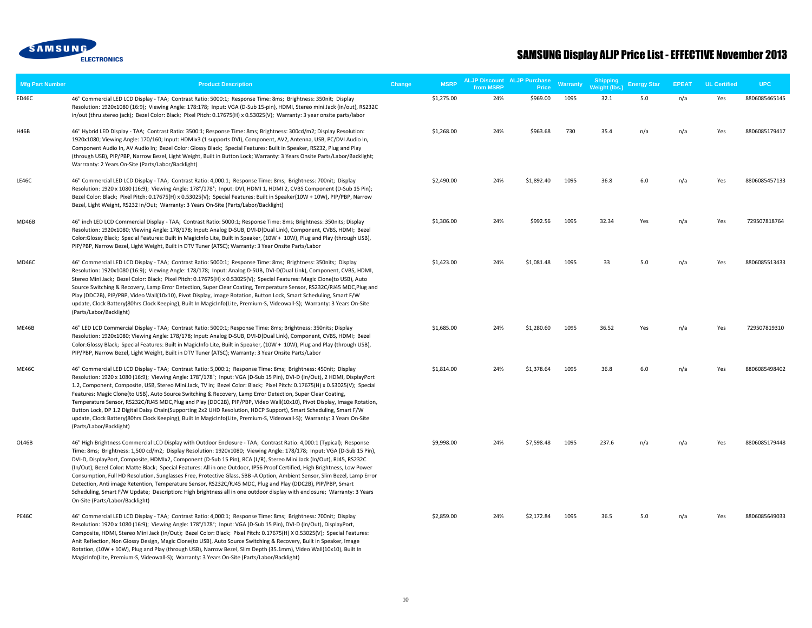

| <b>Mfg Part Number</b> | <b>Product Description</b>                                                                                                                                                                                                                                                                                                                                                                                                                                                                                                                                                                                                                                                                                                                                                                                                                                                                                   | Change | <b>MSRP</b> | <b>ALJP Discount ALJP Purchase</b><br>from MSRP | Price      | <b>Warranty</b> | <b>Shipping</b><br>Weight (lbs.) | <b>Energy Star</b> | <b>EPEAT</b> | <b>UL Certified</b> | <b>UPC</b>    |
|------------------------|--------------------------------------------------------------------------------------------------------------------------------------------------------------------------------------------------------------------------------------------------------------------------------------------------------------------------------------------------------------------------------------------------------------------------------------------------------------------------------------------------------------------------------------------------------------------------------------------------------------------------------------------------------------------------------------------------------------------------------------------------------------------------------------------------------------------------------------------------------------------------------------------------------------|--------|-------------|-------------------------------------------------|------------|-----------------|----------------------------------|--------------------|--------------|---------------------|---------------|
| ED46C                  | 46" Commercial LED LCD Display - TAA; Contrast Ratio: 5000:1; Response Time: 8ms; Brightness: 350nit; Display<br>Resolution: 1920x1080 (16:9); Viewing Angle: 178:178; Input: VGA (D-Sub 15-pin), HDMI, Stereo mini Jack (in/out), RS232C<br>in/out (thru stereo jack); Bezel Color: Black; Pixel Pitch: 0.17675(H) x 0.53025(V); Warranty: 3 year onsite parts/labor                                                                                                                                                                                                                                                                                                                                                                                                                                                                                                                                        |        | \$1,275.00  | 24%                                             | \$969.00   | 1095            | 32.1                             | 5.0                | n/a          | Yes                 | 8806085465145 |
| H46B                   | 46" Hybrid LED Display - TAA; Contrast Ratio: 3500:1; Response Time: 8ms; Brightness: 300cd/m2; Display Resolution:<br>1920x1080; Viewing Angle: 170/160; Input: HDMIx3 (1 supports DVI), Component, AV2, Antenna, USB, PC/DVI Audio In,<br>Component Audio In, AV Audio In; Bezel Color: Glossy Black; Special Features: Built in Speaker, RS232, Plug and Play<br>(through USB), PIP/PBP, Narrow Bezel, Light Weight, Built in Button Lock; Warranty: 3 Years Onsite Parts/Labor/Backlight;<br>Warrranty: 2 Years On-Site (Parts/Labor/Backlight)                                                                                                                                                                                                                                                                                                                                                          |        | \$1,268.00  | 24%                                             | \$963.68   | 730             | 35.4                             | n/a                | n/a          | Yes                 | 8806085179417 |
| LE46C                  | 46" Commercial LED LCD Display - TAA; Contrast Ratio: 4,000:1; Response Time: 8ms; Brightness: 700nit; Display<br>Resolution: 1920 x 1080 (16:9); Viewing Angle: 178°/178°; Input: DVI, HDMI 1, HDMI 2, CVBS Component (D-Sub 15 Pin);<br>Bezel Color: Black; Pixel Pitch: 0.17675(H) x 0.53025(V); Special Features: Built in Speaker(10W + 10W), PIP/PBP, Narrow<br>Bezel, Light Weight, RS232 In/Out; Warranty: 3 Years On-Site (Parts/Labor/Backlight)                                                                                                                                                                                                                                                                                                                                                                                                                                                   |        | \$2,490.00  | 24%                                             | \$1,892.40 | 1095            | 36.8                             | 6.0                | n/a          | Yes                 | 8806085457133 |
| MD46B                  | 46" inch LED LCD Commercial Display - TAA; Contrast Ratio: 5000:1; Response Time: 8ms; Brightness: 350nits; Display<br>Resolution: 1920x1080; Viewing Angle: 178/178; Input: Analog D-SUB, DVI-D(Dual Link), Component, CVBS, HDMI; Bezel<br>Color:Glossy Black; Special Features: Built in MagicInfo Lite, Built in Speaker, (10W + 10W), Plug and Play (through USB),<br>PIP/PBP, Narrow Bezel, Light Weight, Built in DTV Tuner (ATSC); Warranty: 3 Year Onsite Parts/Labor                                                                                                                                                                                                                                                                                                                                                                                                                               |        | \$1,306.00  | 24%                                             | \$992.56   | 1095            | 32.34                            | Yes                | n/a          | Yes                 | 729507818764  |
| MD46C                  | 46" Commercial LED LCD Display - TAA; Contrast Ratio: 5000:1; Response Time: 8ms; Brightness: 350nits; Display<br>Resolution: 1920x1080 (16:9); Viewing Angle: 178/178; Input: Analog D-SUB, DVI-D(Dual Link), Component, CVBS, HDMI,<br>Stereo Mini Jack; Bezel Color: Black; Pixel Pitch: 0.17675(H) x 0.53025(V); Special Features: Magic Clone(to USB), Auto<br>Source Switching & Recovery, Lamp Error Detection, Super Clear Coating, Temperature Sensor, RS232C/RJ45 MDC,Plug and<br>Play (DDC2B), PIP/PBP, Video Wall(10x10), Pivot Display, Image Rotation, Button Lock, Smart Scheduling, Smart F/W<br>update, Clock Battery(80hrs Clock Keeping), Built In MagicInfo(Lite, Premium-S, Videowall-S); Warranty: 3 Years On-Site<br>(Parts/Labor/Backlight)                                                                                                                                          |        | \$1,423.00  | 24%                                             | \$1,081.48 | 1095            | 33                               | 5.0                | n/a          | Yes                 | 8806085513433 |
| ME46B                  | 46" LED LCD Commercial Display - TAA; Contrast Ratio: 5000:1; Response Time: 8ms; Brightness: 350nits; Display<br>Resolution: 1920x1080; Viewing Angle: 178/178; Input: Analog D-SUB, DVI-D(Dual Link), Component, CVBS, HDMI; Bezel<br>Color:Glossy Black; Special Features: Built in MagicInfo Lite, Built in Speaker, (10W + 10W), Plug and Play (through USB),<br>PIP/PBP, Narrow Bezel, Light Weight, Built in DTV Tuner (ATSC); Warranty: 3 Year Onsite Parts/Labor                                                                                                                                                                                                                                                                                                                                                                                                                                    |        | \$1,685.00  | 24%                                             | \$1,280.60 | 1095            | 36.52                            | Yes                | n/a          | Yes                 | 729507819310  |
| ME46C                  | 46" Commercial LED LCD Display - TAA; Contrast Ratio: 5,000:1; Response Time: 8ms; Brightness: 450nit; Display<br>Resolution: 1920 x 1080 (16:9); Viewing Angle: 178°/178°; Input: VGA (D-Sub 15 Pin), DVI-D (In/Out), 2 HDMI, DisplayPort<br>1.2, Component, Composite, USB, Stereo Mini Jack, TV in; Bezel Color: Black; Pixel Pitch: 0.17675(H) x 0.53025(V); Special<br>Features: Magic Clone(to USB), Auto Source Switching & Recovery, Lamp Error Detection, Super Clear Coating,<br>Temperature Sensor, RS232C/RJ45 MDC,Plug and Play (DDC2B), PIP/PBP, Video Wall(10x10), Pivot Display, Image Rotation,<br>Button Lock, DP 1.2 Digital Daisy Chain(Supporting 2x2 UHD Resolution, HDCP Support), Smart Scheduling, Smart F/W<br>update, Clock Battery(80hrs Clock Keeping), Built In MagicInfo(Lite, Premium-S, Videowall-S); Warranty: 3 Years On-Site<br>(Parts/Labor/Backlight)                  |        | \$1,814.00  | 24%                                             | \$1,378.64 | 1095            | 36.8                             | 6.0                | n/a          | Yes                 | 8806085498402 |
| OL46B                  | 46" High Brightness Commercial LCD Display with Outdoor Enclosure - TAA; Contrast Ratio: 4,000:1 (Typical); Response<br>Time: 8ms; Brightness: 1,500 cd/m2; Display Resolution: 1920x1080; Viewing Angle: 178/178; Input: VGA (D-Sub 15 Pin),<br>DVI-D, DisplayPort, Composite, HDMIx2, Component (D-Sub 15 Pin), RCA (L/R), Stereo Mini Jack (In/Out), RJ45, RS232C<br>(In/Out); Bezel Color: Matte Black; Special Features: All in one Outdoor, IP56 Proof Certified, High Brightness, Low Power<br>Consumption, Full HD Resolution, Sunglasses Free, Protective Glass, SBB -A Option, Ambient Sensor, Slim Bezel, Lamp Error<br>Detection, Anti image Retention, Temperature Sensor, RS232C/RJ45 MDC, Plug and Play (DDC2B), PIP/PBP, Smart<br>Scheduling, Smart F/W Update; Description: High brightness all in one outdoor display with enclosure; Warranty: 3 Years<br>On-Site (Parts/Labor/Backlight) |        | \$9,998.00  | 24%                                             | \$7,598.48 | 1095            | 237.6                            | n/a                | n/a          | Yes                 | 8806085179448 |
| PE46C                  | 46" Commercial LED LCD Display - TAA; Contrast Ratio: 4,000:1; Response Time: 8ms; Brightness: 700nit; Display<br>Resolution: 1920 x 1080 (16:9); Viewing Angle: 178°/178°; Input: VGA (D-Sub 15 Pin), DVI-D (In/Out), DisplayPort,<br>Composite, HDMI, Stereo Mini Jack (In/Out); Bezel Color: Black; Pixel Pitch: 0.17675(H) X 0.53025(V); Special Features:<br>Anit Reflection, Non Glossy Design, Magic Clone(to USB), Auto Source Switching & Recovery, Built in Speaker, Image<br>Rotation, (10W + 10W), Plug and Play (through USB), Narrow Bezel, Slim Depth (35.1mm), Video Wall(10x10), Built In<br>MagicInfo(Lite, Premium-S, Videowall-S); Warranty: 3 Years On-Site (Parts/Labor/Backlight)                                                                                                                                                                                                     |        | \$2,859.00  | 24%                                             | \$2,172.84 | 1095            | 36.5                             | 5.0                | n/a          | Yes                 | 8806085649033 |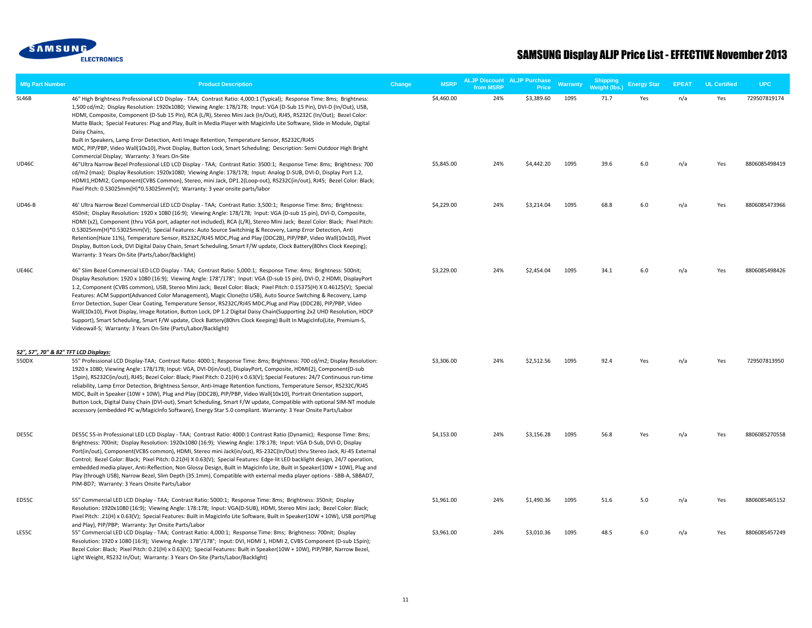

| <b>Mfg Part Number</b>                         | <b>Product Description</b>                                                                                                                                                                                                                                                                                                                                                                                                                                                                                                                                                                                                                                                                                                                                                                                                                                                                                                      | Change | <b>MSRP</b> | <b>ALJP Discount ALJP Purchase</b><br>from MSRP | Price      | <b>Warranty</b> | <b>Shipping</b><br><b>Weight (lbs.)</b> | <b>Energy Star</b> | <b>EPEAT</b> | <b>UL Certified</b> | <b>UPC</b>    |
|------------------------------------------------|---------------------------------------------------------------------------------------------------------------------------------------------------------------------------------------------------------------------------------------------------------------------------------------------------------------------------------------------------------------------------------------------------------------------------------------------------------------------------------------------------------------------------------------------------------------------------------------------------------------------------------------------------------------------------------------------------------------------------------------------------------------------------------------------------------------------------------------------------------------------------------------------------------------------------------|--------|-------------|-------------------------------------------------|------------|-----------------|-----------------------------------------|--------------------|--------------|---------------------|---------------|
| SL46B                                          | 46" High Brightness Professional LCD Display - TAA; Contrast Ratio: 4,000:1 (Typical); Response Time: 8ms; Brightness:<br>1,500 cd/m2; Display Resolution: 1920x1080; Viewing Angle: 178/178; Input: VGA (D-Sub 15 Pin), DVI-D (In/Out), USB,<br>HDMI, Composite, Component (D-Sub 15 Pin), RCA (L/R), Stereo Mini Jack (In/Out), RJ45, RS232C (In/Out); Bezel Color:<br>Matte Black; Special Features: Plug and Play, Built in Media Player with MagicInfo Lite Software, Slide in Module, Digital<br>Daisy Chains,<br>Built in Speakers, Lamp Error Detection, Anti Image Retention, Temperature Sensor, RS232C/RJ45<br>MDC, PIP/PBP, Video Wall(10x10), Pivot Display, Button Lock, Smart Scheduling; Description: Semi Outdoor High Bright                                                                                                                                                                                  |        | \$4,460.00  | 24%                                             | \$3,389.60 | 1095            | 71.7                                    | Yes                | n/a          | Yes                 | 729507819174  |
| UD46C                                          | Commercial Display; Warranty: 3 Years On-Site<br>46"Ultra Narrow Bezel Professional LED LCD Display - TAA; Contrast Ratio: 3500:1; Response Time: 8ms; Brightness: 700<br>cd/m2 (max); Display Resolution: 1920x1080; Viewing Angle: 178/178; Input: Analog D-SUB, DVI-D, Display Port 1.2,<br>HDMI1,HDMI2, Component(CVBS Common), Stereo, mini Jack, DP1.2(Loop-out), RS232C(in/out), RJ45; Bezel Color: Black;<br>Pixel Pitch: 0.53025mm(H)*0.53025mm(V); Warranty: 3 year onsite parts/labor                                                                                                                                                                                                                                                                                                                                                                                                                                |        | \$5,845.00  | 24%                                             | \$4,442.20 | 1095            | 39.6                                    | 6.0                | n/a          | Yes                 | 8806085498419 |
| <b>UD46-B</b>                                  | 46' Ultra Narrow Bezel Commercial LED LCD Display - TAA; Contrast Ratio: 3,500:1; Response Time: 8ms; Brightness:<br>450nit; Display Resolution: 1920 x 1080 (16:9); Viewing Angle: 178/178; Input: VGA (D-sub 15 pin), DVI-D, Composite,<br>HDMI (x2), Component (thru VGA port, adapter not included), RCA (L/R), Stereo Mini Jack; Bezel Color: Black; Pixel Pitch:<br>0.53025mm(H)*0.53025mm(V); Special Features: Auto Source Switchinig & Recovery, Lamp Error Detection, Anti<br>Retention(Haze 11%), Temperature Sensor, RS232C/RJ45 MDC, Plug and Play (DDC2B), PIP/PBP, Video Wall(10x10), Pivot<br>Display, Button Lock, DVI Digital Daisy Chain, Smart Scheduling, Smart F/W update, Clock Battery(80hrs Clock Keeping);<br>Warranty: 3 Years On-Site (Parts/Labor/Backlight)                                                                                                                                       |        | \$4,229.00  | 24%                                             | \$3,214.04 | 1095            | 68.8                                    | 6.0                | n/a          | Yes                 | 8806085473966 |
| <b>UE46C</b>                                   | 46" Slim Bezel Commercial LED LCD Display - TAA; Contrast Ratio: 5,000:1; Response Time: 4ms; Brightness: 500nit;<br>Display Resolution: 1920 x 1080 (16:9); Viewing Angle: 178°/178°; Input: VGA (D-sub 15 pin), DVI-D, 2 HDMI, DisplayPort<br>1.2, Component (CVBS common), USB, Stereo Mini Jack; Bezel Color: Black; Pixel Pitch: 0.15375(H) X 0.46125(V); Special<br>Features: ACM Support(Advanced Color Management), Magic Clone(to USB), Auto Source Switching & Recovery, Lamp<br>Error Detection, Super Clear Coating, Temperature Sensor, RS232C/RJ45 MDC,Plug and Play (DDC2B), PIP/PBP, Video<br>Wall(10x10), Pivot Display, Image Rotation, Button Lock, DP 1.2 Digital Daisy Chain(Supporting 2x2 UHD Resolution, HDCP<br>Support), Smart Scheduling, Smart F/W update, Clock Battery(80hrs Clock Keeping) Built In MagicInfo(Lite, Premium-S,<br>Videowall-S; Warranty: 3 Years On-Site (Parts/Labor/Backlight) |        | \$3,229.00  | 24%                                             | \$2,454.04 | 1095            | 34.1                                    | 6.0                | n/a          | Yes                 | 8806085498426 |
| 52", 57", 70" & 82" TFT LCD Displays:<br>550DX | 55" Professional LCD Display-TAA; Contrast Ratio: 4000:1; Response Time: 8ms; Brightness: 700 cd/m2; Display Resolution:<br>1920 x 1080; Viewing Angle: 178/178; Input: VGA, DVI-D(in/out), DisplayPort, Composite, HDMI(2), Component(D-sub<br>15pin), RS232C(in/out), RJ45; Bezel Color: Black; Pixel Pitch: 0.21(H) x 0.63(V); Special Features: 24/7 Continuous run-time<br>reliability, Lamp Error Detection, Brightness Sensor, Anti-Image Retention functions, Temperature Sensor, RS232C/RJ45<br>MDC, Built in Speaker (10W + 10W), Plug and Play (DDC2B), PIP/PBP, Video Wall(10x10), Portrait Orientation support,<br>Button Lock, Digital Daisy Chain (DVI-out), Smart Scheduling, Smart F/W update, Compatible with optional SIM-NT module<br>accessory (embedded PC w/MagicInfo Software), Energy Star 5.0 compliant. Warranty: 3 Year Onsite Parts/Labor                                                          |        | \$3.306.00  | 24%                                             | \$2.512.56 | 1095            | 92.4                                    | Yes                | n/a          | Yes                 | 729507813950  |
| DE55C                                          | DE55C 55-in Professional LED LCD Display - TAA; Contrast Ratio: 4000:1 Contrast Ratio (Dynamic); Response Time: 8ms;<br>Brightness: 700nit; Display Resolution: 1920x1080 (16:9); Viewing Angle: 178:178; Input: VGA D-Sub, DVI-D, Display<br>Port(in/out), Component(VCBS common), HDMI, Stereo mini Jack(in/out), RS-232C(In/Out) thru Stereo Jack, RJ-45 External<br>Control; Bezel Color: Black; Pixel Pitch: 0.21(H) X 0.63(V); Special Features: Edge-lit LED backlight design, 24/7 operation,<br>embedded media player, Anti-Reflection, Non Glossy Design, Built in MagicInfo Lite, Built in Speaker(10W + 10W), Plug and<br>Play (through USB), Narrow Bezel, Slim Depth (35.1mm), Compatible with external media player options - SBB-A, SBBAD7,<br>PIM-BD7; Warranty: 3 Years Onsite Parts/Labor                                                                                                                    |        | \$4,153.00  | 24%                                             | \$3,156.28 | 1095            | 56.8                                    | Yes                | n/a          | Yes                 | 8806085270558 |
| ED55C                                          | 55" Commercial LED LCD Display - TAA; Contrast Ratio: 5000:1; Response Time: 8ms; Brightness: 350nit; Display<br>Resolution: 1920x1080 (16:9); Viewing Angle: 178:178; Input: VGA(D-SUB), HDMI, Stereo Mini Jack; Bezel Color: Black;<br>Pixel Pitch: .21(H) x 0.63(V); Special Features: Built in MagicInfo Lite Software, Built in Speaker(10W + 10W), USB port(Plug                                                                                                                                                                                                                                                                                                                                                                                                                                                                                                                                                          |        | \$1,961.00  | 24%                                             | \$1,490.36 | 1095            | 51.6                                    | 5.0                | n/a          | Yes                 | 8806085465152 |
| LE55C                                          | and Play), PIP/PBP; Warranty: 3yr Onsite Parts/Labor<br>55" Commercial LED LCD Display - TAA; Contrast Ratio: 4,000:1; Response Time: 8ms; Brightness: 700nit; Display<br>Resolution: 1920 x 1080 (16:9); Viewing Angle: 178°/178°; Input: DVI, HDMI 1, HDMI 2, CVBS Component (D-sub 15pin);<br>Bezel Color: Black; Pixel Pitch: 0.21(H) x 0.63(V); Special Features: Built in Speaker(10W + 10W), PIP/PBP, Narrow Bezel,<br>Light Weight, RS232 In/Out; Warranty: 3 Years On-Site (Parts/Labor/Backlight)                                                                                                                                                                                                                                                                                                                                                                                                                     |        | \$3,961.00  | 24%                                             | \$3,010.36 | 1095            | 48.5                                    | 6.0                | n/a          | Yes                 | 8806085457249 |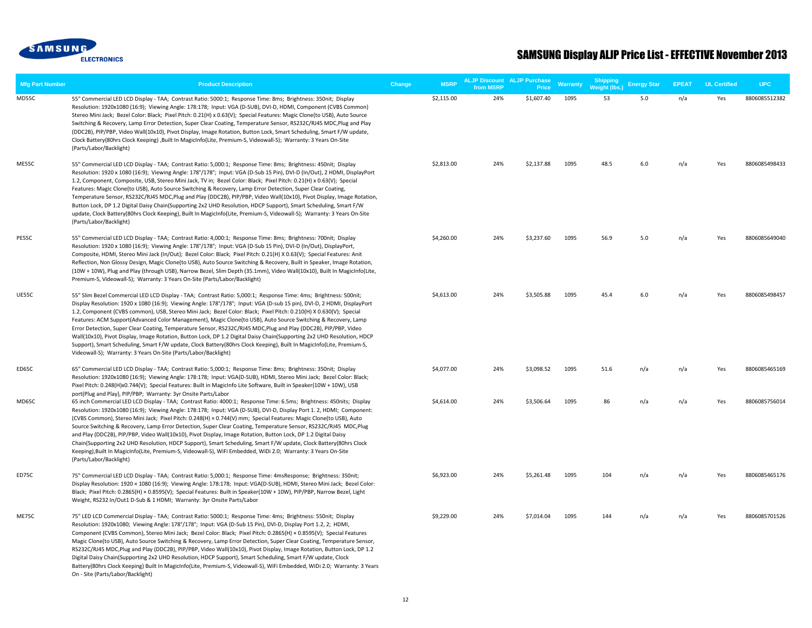

| <b>Mfg Part Number</b> | <b>Product Description</b>                                                                                                                                                                                                                                                                                                                                                                                                                                                                                                                                                                                                                                                                                                                                                                                                                                                                                                    | Change | <b>MSRP</b> | <b>ALJP Discount ALJP Purchase</b><br>from MSRP | Price      | Warranty | Shipping<br>Weight (lbs.) | <b>Energy Star</b> | <b>EPEAT</b> | <b>UL Certified</b> | <b>UPC</b>    |
|------------------------|-------------------------------------------------------------------------------------------------------------------------------------------------------------------------------------------------------------------------------------------------------------------------------------------------------------------------------------------------------------------------------------------------------------------------------------------------------------------------------------------------------------------------------------------------------------------------------------------------------------------------------------------------------------------------------------------------------------------------------------------------------------------------------------------------------------------------------------------------------------------------------------------------------------------------------|--------|-------------|-------------------------------------------------|------------|----------|---------------------------|--------------------|--------------|---------------------|---------------|
| MD55C                  | 55" Commercial LED LCD Display - TAA; Contrast Ratio: 5000:1; Response Time: 8ms; Brightness: 350nit; Display<br>Resolution: 1920x1080 (16:9); Viewing Angle: 178:178; Input: VGA (D-SUB), DVI-D, HDMI, Component (CVBS Common)<br>Stereo Mini Jack; Bezel Color: Black; Pixel Pitch: 0.21(H) x 0.63(V); Special Features: Magic Clone(to USB), Auto Source<br>Switching & Recovery, Lamp Error Detection, Super Clear Coating, Temperature Sensor, RS232C/RJ45 MDC, Plug and Play<br>(DDC2B), PIP/PBP, Video Wall(10x10), Pivot Display, Image Rotation, Button Lock, Smart Scheduling, Smart F/W update,<br>Clock Battery(80hrs Clock Keeping), Built In MagicInfo(Lite, Premium-S, Videowall-S); Warranty: 3 Years On-Site<br>(Parts/Labor/Backlight)                                                                                                                                                                      |        | \$2,115.00  | 24%                                             | \$1,607.40 | 1095     | 53                        | 5.0                | n/a          | Yes                 | 8806085512382 |
| ME55C                  | 55" Commercial LED LCD Display - TAA; Contrast Ratio: 5,000:1; Response Time: 8ms; Brightness: 450nit; Display<br>Resolution: 1920 x 1080 (16:9); Viewing Angle: 178°/178°; Input: VGA (D-Sub 15 Pin), DVI-D (In/Out), 2 HDMI, DisplayPort<br>1.2, Component, Composite, USB, Stereo Mini Jack, TV in; Bezel Color: Black; Pixel Pitch: 0.21(H) x 0.63(V); Special<br>Features: Magic Clone(to USB), Auto Source Switching & Recovery, Lamp Error Detection, Super Clear Coating,<br>Temperature Sensor, RS232C/RJ45 MDC,Plug and Play (DDC2B), PIP/PBP, Video Wall(10x10), Pivot Display, Image Rotation,<br>Button Lock, DP 1.2 Digital Daisy Chain(Supporting 2x2 UHD Resolution, HDCP Support), Smart Scheduling, Smart F/W<br>update, Clock Battery(80hrs Clock Keeping), Built In MagicInfo(Lite, Premium-S, Videowall-S); Warranty: 3 Years On-Site<br>(Parts/Labor/Backlight)                                         |        | \$2,813.00  | 24%                                             | \$2,137.88 | 1095     | 48.5                      | 6.0                | n/a          | Yes                 | 8806085498433 |
| PE55C                  | 55" Commercial LED LCD Display - TAA; Contrast Ratio: 4,000:1; Response Time: 8ms; Brightness: 700nit; Display<br>Resolution: 1920 x 1080 (16:9); Viewing Angle: 178°/178°; Input: VGA (D-Sub 15 Pin), DVI-D (In/Out), DisplayPort,<br>Composite, HDMI, Stereo Mini Jack (In/Out); Bezel Color: Black; Pixel Pitch: 0.21(H) X 0.63(V); Special Features: Anit<br>Reflection, Non Glossy Design, Magic Clone(to USB), Auto Source Switching & Recovery, Built in Speaker, Image Rotation,<br>(10W + 10W), Plug and Play (through USB), Narrow Bezel, Slim Depth (35.1mm), Video Wall(10x10), Built In MagicInfo(Lite,<br>Premium-S, Videowall-S); Warranty: 3 Years On-Site (Parts/Labor/Backlight)                                                                                                                                                                                                                            |        | \$4,260.00  | 24%                                             | \$3,237.60 | 1095     | 56.9                      | 5.0                | n/a          | Yes                 | 8806085649040 |
| UE55C                  | 55" Slim Bezel Commercial LED LCD Display - TAA; Contrast Ratio: 5,000:1; Response Time: 4ms; Brightness: 500nit;<br>Display Resolution: 1920 x 1080 (16:9); Viewing Angle: 178°/178°; Input: VGA (D-sub 15 pin), DVI-D, 2 HDMI, DisplayPort<br>1.2, Component (CVBS common), USB, Stereo Mini Jack; Bezel Color: Black; Pixel Pitch: 0.210(H) X 0.630(V); Special<br>Features: ACM Support(Advanced Color Management), Magic Clone(to USB), Auto Source Switching & Recovery, Lamp<br>Error Detection, Super Clear Coating, Temperature Sensor, RS232C/RJ45 MDC,Plug and Play (DDC2B), PIP/PBP, Video<br>Wall(10x10), Pivot Display, Image Rotation, Button Lock, DP 1.2 Digital Daisy Chain(Supporting 2x2 UHD Resolution, HDCP<br>Support), Smart Scheduling, Smart F/W update, Clock Battery(80hrs Clock Keeping), Built In MagicInfo(Lite, Premium-S,<br>Videowall-S); Warranty: 3 Years On-Site (Parts/Labor/Backlight) |        | \$4,613.00  | 24%                                             | \$3,505.88 | 1095     | 45.4                      | 6.0                | n/a          | Yes                 | 8806085498457 |
| ED65C                  | 65" Commercial LED LCD Display - TAA; Contrast Ratio: 5,000:1; Response Time: 8ms; Brightness: 350nit; Display<br>Resolution: 1920x1080 (16:9); Viewing Angle: 178:178; Input: VGA(D-SUB), HDMI, Stereo Mini Jack; Bezel Color: Black;<br>Pixel Pitch: 0.248(H)x0.744(V); Special Features: Built in MagicInfo Lite Software, Built in Speaker(10W + 10W), USB<br>port(Plug and Play), PIP/PBP; Warranty: 3yr Onsite Parts/Labor                                                                                                                                                                                                                                                                                                                                                                                                                                                                                              |        | \$4,077.00  | 24%                                             | \$3,098.52 | 1095     | 51.6                      | n/a                | n/a          | Yes                 | 8806085465169 |
| MD65C                  | 65 inch Commercial LED LCD Display - TAA; Contrast Ratio: 4000:1; Response Time: 6.5ms; Brightness: 450nits; Display<br>Resolution: 1920x1080 (16:9); Viewing Angle: 178:178; Input: VGA (D-SUB), DVI-D, Display Port 1. 2, HDMI; Component:<br>(CVBS Common), Stereo Mini Jack; Pixel Pitch: 0.248(H) × 0.744(V) mm; Special Features: Magic Clone(to USB), Auto<br>Source Switching & Recovery, Lamp Error Detection, Super Clear Coating, Temperature Sensor, RS232C/RJ45 MDC,Plug<br>and Play (DDC2B), PIP/PBP, Video Wall(10x10), Pivot Display, Image Rotation, Button Lock, DP 1.2 Digital Daisy<br>Chain(Supporting 2x2 UHD Resolution, HDCP Support), Smart Scheduling, Smart F/W update, Clock Battery(80hrs Clock<br>Keeping), Built In MagicInfo(Lite, Premium-S, Videowall-S), WiFi Embedded, WiDi 2.0; Warranty: 3 Years On-Site<br>(Parts/Labor/Backlight)                                                     |        | \$4,614.00  | 24%                                             | \$3,506.64 | 1095     | 86                        | n/a                | n/a          | Yes                 | 8806085756014 |
| ED75C                  | 75" Commercial LED LCD Display - TAA; Contrast Ratio: 5,000:1; Response Time: 4msResponse; Brightness: 350nit;<br>Display Resolution: 1920 × 1080 (16:9); Viewing Angle: 178:178; Input: VGA(D-SUB), HDMI, Stereo Mini Jack; Bezel Color:<br>Black; Pixel Pitch: 0.2865(H) × 0.8595(V); Special Features: Built in Speaker(10W + 10W), PIP/PBP, Narrow Bezel, Light<br>Weight, RS232 In/Out1 D-Sub & 1 HDMI; Warranty: 3yr Onsite Parts/Labor                                                                                                                                                                                                                                                                                                                                                                                                                                                                                 |        | \$6,923.00  | 24%                                             | \$5,261.48 | 1095     | 104                       | n/a                | n/a          | Yes                 | 8806085465176 |
| ME75C                  | 75" LED LCD Commercial Display - TAA; Contrast Ratio: 5000:1; Response Time: 4ms; Brightness: 550nit; Display<br>Resolution: 1920x1080; Viewing Angle: 178°/178°; Input: VGA (D-Sub 15 Pin), DVI-D, Display Port 1.2, 2; HDMI,<br>Component (CVBS Common), Stereo Mini Jack; Bezel Color: Black; Pixel Pitch: 0.2865(H) × 0.8595(V); Special Features<br>Magic Clone(to USB), Auto Source Switching & Recovery, Lamp Error Detection, Super Clear Coating, Temperature Sensor,<br>RS232C/RJ45 MDC,Plug and Play (DDC2B), PIP/PBP, Video Wall(10x10), Pivot Display, Image Rotation, Button Lock, DP 1.2<br>Digital Daisy Chain(Supporting 2x2 UHD Resolution, HDCP Support), Smart Scheduling, Smart F/W update, Clock<br>Battery(80hrs Clock Keeping) Built In MagicInfo(Lite, Premium-S, Videowall-S), WiFi Embedded, WiDi 2.0; Warranty: 3 Years<br>On - Site (Parts/Labor/Backlight)                                      |        | \$9,229.00  | 24%                                             | \$7,014.04 | 1095     | 144                       | n/a                | n/a          | Yes                 | 8806085701526 |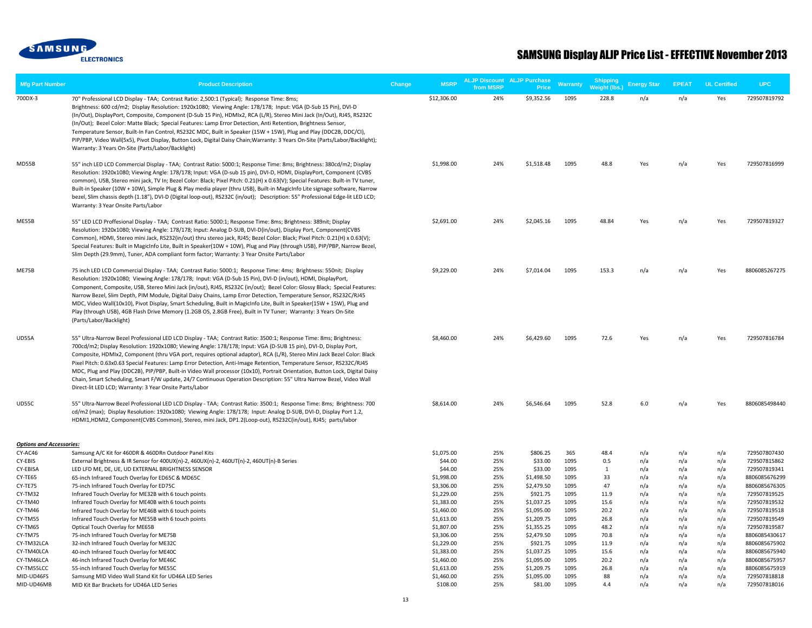

| <b>Mfg Part Number</b>          | <b>Product Description</b>                                                                                                                                                                                                                                                                                                                                                                                                                                                                                                                                                                                                                                                                                                                                                                                   | Change | <b>MSRP</b>              | from MSRP  | <b>ALJP Discount ALJP Purchase</b><br><b>Price</b> | <b>Warranty</b> | <b>Shipping</b><br><b>Weight (lbs.)</b> | <b>Energy Star</b> | <b>EPEAT</b> | <b>UL Certified</b> | <b>UPC</b>                   |
|---------------------------------|--------------------------------------------------------------------------------------------------------------------------------------------------------------------------------------------------------------------------------------------------------------------------------------------------------------------------------------------------------------------------------------------------------------------------------------------------------------------------------------------------------------------------------------------------------------------------------------------------------------------------------------------------------------------------------------------------------------------------------------------------------------------------------------------------------------|--------|--------------------------|------------|----------------------------------------------------|-----------------|-----------------------------------------|--------------------|--------------|---------------------|------------------------------|
| 700DX-3                         | 70" Professional LCD Display - TAA; Contrast Ratio: 2,500:1 (Typical); Response Time: 8ms;<br>Brightness: 600 cd/m2; Display Resolution: 1920x1080; Viewing Angle: 178/178; Input: VGA (D-Sub 15 Pin), DVI-D<br>(In/Out), DisplayPort, Composite, Component (D-Sub 15 Pin), HDMIx2, RCA (L/R), Stereo Mini Jack (In/Out), RJ45, RS232C<br>(In/Out); Bezel Color: Matte Black; Special Features: Lamp Error Detection, Anti Retention, Brightness Sensor,<br>Temperature Sensor, Built-In Fan Control, RS232C MDC, Built in Speaker (15W + 15W), Plug and Play (DDC2B, DDC/CI),<br>PIP/PBP, Video Wall(5x5), Pivot Display, Button Lock, Digital Daisy Chain; Warranty: 3 Years On-Site (Parts/Labor/Backlight);<br>Warranty: 3 Years On-Site (Parts/Labor/Backlight)                                         |        | \$12,306.00              | 24%        | \$9,352.56                                         | 1095            | 228.8                                   | n/a                | n/a          | Yes                 | 729507819792                 |
| MD55B                           | 55" inch LED LCD Commercial Display - TAA; Contrast Ratio: 5000:1; Response Time: 8ms; Brightness: 380cd/m2; Display<br>Resolution: 1920x1080; Viewing Angle: 178/178; Input: VGA (D-sub 15 pin), DVI-D, HDMI, DisplayPort, Component (CVBS<br>common), USB, Stereo mini jack, TV In; Bezel Color: Black; Pixel Pitch: 0.21(H) x 0.63(V); Special Features: Built-in TV tuner,<br>Built-in Speaker (10W + 10W), Simple Plug & Play media player (thru USB), Built-in MagicInfo Lite signage software, Narrow<br>bezel, Slim chassis depth (1.18"), DVI-D (Digital loop-out), RS232C (in/out); Description: 55" Professional Edge-lit LED LCD;<br>Warranty: 3 Year Onsite Parts/Labor                                                                                                                         |        | \$1,998.00               | 24%        | \$1,518.48                                         | 1095            | 48.8                                    | Yes                | n/a          | Yes                 | 729507816999                 |
| ME55B                           | 55" LED LCD Proffesional Display - TAA; Contrast Ratio: 5000:1; Response Time: 8ms; Brightness: 389nit; Display<br>Resolution: 1920x1080; Viewing Angle: 178/178; Input: Analog D-SUB, DVI-D(in/out), Display Port, Component(CVBS<br>Common), HDMI, Stereo mini Jack, RS232(in/out) thru stereo jack, RJ45; Bezel Color: Black; Pixel Pitch: 0.21(H) x 0.63(V);<br>Special Features: Built in MagicInfo Lite, Built in Speaker(10W + 10W), Plug and Play (through USB), PIP/PBP, Narrow Bezel,<br>Slim Depth (29.9mm), Tuner, ADA compliant form factor; Warranty: 3 Year Onsite Parts/Labor                                                                                                                                                                                                                |        | \$2,691.00               | 24%        | \$2,045.16                                         | 1095            | 48.84                                   | Yes                | n/a          | Yes                 | 729507819327                 |
| ME75B                           | 75 inch LED LCD Commercial Display - TAA; Contrast Ratio: 5000:1; Response Time: 4ms; Brightness: 550nit; Display<br>Resolution: 1920x1080; Viewing Angle: 178/178; Input: VGA (D-Sub 15 Pin), DVI-D (in/out), HDMI, DisplayPort,<br>Component, Composite, USB, Stereo Mini Jack (in/out), RJ45, RS232C (in/out); Bezel Color: Glossy Black; Special Features:<br>Narrow Bezel, Slim Depth, PIM Module, Digital Daisy Chains, Lamp Error Detection, Temperature Sensor, RS232C/RJ45<br>MDC, Video Wall(10x10), Pivot Display, Smart Scheduling, Built in MagicInfo Lite, Built in Speaker(15W + 15W), Plug and<br>Play (through USB), 4GB Flash Drive Memory (1.2GB OS, 2.8GB Free), Built in TV Tuner; Warranty: 3 Years On-Site<br>(Parts/Labor/Backlight)                                                 |        | \$9,229.00               | 24%        | \$7,014.04                                         | 1095            | 153.3                                   | n/a                | n/a          | Yes                 | 8806085267275                |
| UD55A                           | 55" Ultra-Narrow Bezel Professional LED LCD Display - TAA; Contrast Ratio: 3500:1; Response Time: 8ms; Brightness:<br>700cd/m2; Display Resolution: 1920x1080; Viewing Angle: 178/178; Input: VGA (D-SUB 15 pin), DVI-D, Display Port,<br>Composite, HDMIx2, Component (thru VGA port, requires optional adaptor), RCA (L/R), Stereo Mini Jack Bezel Color: Black<br>Pixel Pitch: 0.63x0.63 Special Features: Lamp Error Detection, Anti-Image Retention, Temperature Sensor, RS232C/RJ45<br>MDC, Plug and Play (DDC2B), PIP/PBP, Built-in Video Wall processor (10x10), Portrait Orientation, Button Lock, Digital Daisy<br>Chain, Smart Scheduling, Smart F/W update, 24/7 Continuous Operation Description: 55" Ultra Narrow Bezel, Video Wall<br>Direct-lit LED LCD; Warranty: 3 Year Onsite Parts/Labor |        | \$8,460.00               | 24%        | \$6,429.60                                         | 1095            | 72.6                                    | Yes                | n/a          | Yes                 | 729507816784                 |
| UD55C                           | 55" Ultra-Narrow Bezel Professional LED LCD Display - TAA; Contrast Ratio: 3500:1; Response Time: 8ms; Brightness: 700<br>cd/m2 (max); Display Resolution: 1920x1080; Viewing Angle: 178/178; Input: Analog D-SUB, DVI-D, Display Port 1.2,<br>HDMI1,HDMI2, Component(CVBS Common), Stereo, mini Jack, DP1.2(Loop-out), RS232C(in/out), RJ45; parts/labor                                                                                                                                                                                                                                                                                                                                                                                                                                                    |        | \$8,614.00               | 24%        | \$6,546.64                                         | 1095            | 52.8                                    | 6.0                | n/a          | Yes                 | 8806085498440                |
| <b>Options and Accessories:</b> |                                                                                                                                                                                                                                                                                                                                                                                                                                                                                                                                                                                                                                                                                                                                                                                                              |        |                          |            |                                                    |                 |                                         |                    |              |                     |                              |
| CY-AC46                         | Samsung A/C Kit for 460DR & 460DRn Outdoor Panel Kits                                                                                                                                                                                                                                                                                                                                                                                                                                                                                                                                                                                                                                                                                                                                                        |        | \$1,075.00               | 25%        | \$806.25                                           | 365             | 48.4                                    | n/a                | n/a          | n/a                 | 729507807430                 |
| CY-EBIS                         | External Brightness & IR Sensor for 400UX(n)-2, 460UX(n)-2, 460UT(n)-2, 460UT(n)-B Series                                                                                                                                                                                                                                                                                                                                                                                                                                                                                                                                                                                                                                                                                                                    |        | \$44.00                  | 25%        | \$33.00                                            | 1095            | 0.5                                     | n/a                | n/a          | n/a                 | 729507815862                 |
| CY-EBISA                        | LED LFD ME, DE, UE, UD EXTERNAL BRIGHTNESS SENSOR                                                                                                                                                                                                                                                                                                                                                                                                                                                                                                                                                                                                                                                                                                                                                            |        | \$44.00                  | 25%        | \$33.00                                            | 1095            | $\mathbf{1}$                            | n/a                | n/a          | n/a                 | 729507819341                 |
| CY-TE65                         | 65-inch Infrared Touch Overlay for ED65C & MD65C                                                                                                                                                                                                                                                                                                                                                                                                                                                                                                                                                                                                                                                                                                                                                             |        | \$1,998.00               | 25%        | \$1,498.50                                         | 1095            | 33                                      | n/a                | n/a          | n/a                 | 8806085676299                |
| CY-TE75                         | 75-inch Infrared Touch Overlay for ED75C                                                                                                                                                                                                                                                                                                                                                                                                                                                                                                                                                                                                                                                                                                                                                                     |        | \$3,306.00               | 25%<br>25% | \$2,479.50                                         | 1095            | 47                                      | n/a                | n/a          | n/a                 | 8806085676305                |
| CY-TM32<br>CY-TM40              | Infrared Touch Overlay for ME32B with 6 touch points<br>Infrared Touch Overlay for ME40B with 6 touch points                                                                                                                                                                                                                                                                                                                                                                                                                                                                                                                                                                                                                                                                                                 |        | \$1,229.00<br>\$1,383.00 | 25%        | \$921.75<br>\$1,037.25                             | 1095<br>1095    | 11.9<br>15.6                            | n/a<br>n/a         | n/a<br>n/a   | n/a<br>n/a          | 729507819525<br>729507819532 |
| CY-TM46                         | Infrared Touch Overlay for ME46B with 6 touch points                                                                                                                                                                                                                                                                                                                                                                                                                                                                                                                                                                                                                                                                                                                                                         |        | \$1,460.00               | 25%        | \$1,095.00                                         | 1095            | 20.2                                    | n/a                | n/a          | n/a                 | 729507819518                 |
| CY-TM55                         | Infrared Touch Overlay for ME55B with 6 touch points                                                                                                                                                                                                                                                                                                                                                                                                                                                                                                                                                                                                                                                                                                                                                         |        | \$1,613.00               | 25%        | \$1,209.75                                         | 1095            | 26.8                                    | n/a                | n/a          | n/a                 | 729507819549                 |
| CY-TM65                         | Optical Touch Overlay for ME65B                                                                                                                                                                                                                                                                                                                                                                                                                                                                                                                                                                                                                                                                                                                                                                              |        | \$1,807.00               | 25%        | \$1,355.25                                         | 1095            | 48.2                                    | n/a                | n/a          | n/a                 | 729507819587                 |
| CY-TM75                         | 75-inch Infrared Touch Overlay for ME75B                                                                                                                                                                                                                                                                                                                                                                                                                                                                                                                                                                                                                                                                                                                                                                     |        | \$3,306.00               | 25%        | \$2,479.50                                         | 1095            | 70.8                                    | n/a                | n/a          | n/a                 | 8806085430617                |
| CY-TM32LCA                      | 32-inch Infrared Touch Overlay for ME32C                                                                                                                                                                                                                                                                                                                                                                                                                                                                                                                                                                                                                                                                                                                                                                     |        | \$1,229.00               | 25%        | \$921.75                                           | 1095            | 11.9                                    | n/a                | n/a          | n/a                 | 8806085675902                |
| CY-TM40LCA                      | 40-inch Infrared Touch Overlay for ME40C                                                                                                                                                                                                                                                                                                                                                                                                                                                                                                                                                                                                                                                                                                                                                                     |        | \$1,383.00               | 25%        | \$1,037.25                                         | 1095            | 15.6                                    | n/a                | n/a          | n/a                 | 8806085675940                |
| CY-TM46LCA                      | 46-inch Infrared Touch Overlay for ME46C                                                                                                                                                                                                                                                                                                                                                                                                                                                                                                                                                                                                                                                                                                                                                                     |        | \$1,460.00               | 25%        | \$1,095.00                                         | 1095            | 20.2                                    | n/a                | n/a          | n/a                 | 8806085675957                |
| CY-TM55LCC                      | 55-inch Infrared Touch Overlay for ME55C                                                                                                                                                                                                                                                                                                                                                                                                                                                                                                                                                                                                                                                                                                                                                                     |        | \$1,613.00               | 25%        | \$1,209.75                                         | 1095            | 26.8                                    | n/a                | n/a          | n/a                 | 8806085675919                |
| MID-UD46FS<br>MID-UD46MB        | Samsung MID Video Wall Stand Kit for UD46A LED Series<br>MID Kit Bar Brackets for UD46A LED Series                                                                                                                                                                                                                                                                                                                                                                                                                                                                                                                                                                                                                                                                                                           |        | \$1,460.00<br>\$108.00   | 25%<br>25% | \$1,095.00<br>\$81.00                              | 1095<br>1095    | 88<br>4.4                               | n/a<br>n/a         | n/a<br>n/a   | n/a<br>n/a          | 729507818818<br>729507818016 |
|                                 |                                                                                                                                                                                                                                                                                                                                                                                                                                                                                                                                                                                                                                                                                                                                                                                                              |        |                          |            |                                                    |                 |                                         |                    |              |                     |                              |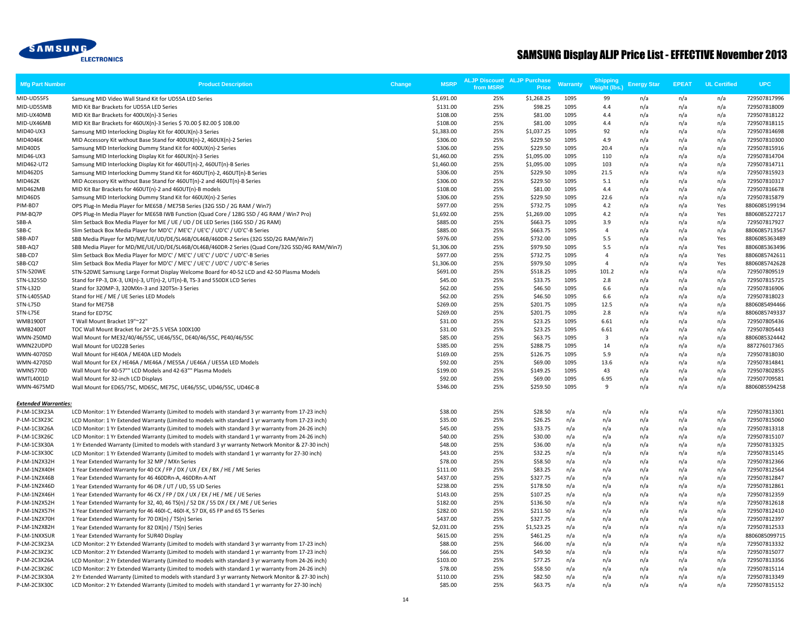

| <b>Mfg Part Number</b>      | <b>Product Description</b>                                                                          | <b>MSRP</b><br>Change | from MSRP | <b>ALJP Discount ALJP Purchase</b><br>Price | <b>Narranty</b> | <b>Shipping</b><br><b>Weight (lbs.)</b> | <b>Energy Star</b> | <b>EPEAT</b> | <b>UL Certified</b> | <b>UPC</b>    |
|-----------------------------|-----------------------------------------------------------------------------------------------------|-----------------------|-----------|---------------------------------------------|-----------------|-----------------------------------------|--------------------|--------------|---------------------|---------------|
| MID-UD55FS                  | Samsung MID Video Wall Stand Kit for UD55A LED Series                                               | \$1,691.00            | 25%       | \$1,268.25                                  | 1095            | 99                                      | n/a                | n/a          | n/a                 | 729507817996  |
| MID-UD55MB                  | MID Kit Bar Brackets for UD55A LED Series                                                           | \$131.00              | 25%       | \$98.25                                     | 1095            | 4.4                                     | n/a                | n/a          | n/a                 | 729507818009  |
| MID-UX40MB                  | MID Kit Bar Brackets for 400UX(n)-3 Series                                                          | \$108.00              | 25%       | \$81.00                                     | 1095            | 4.4                                     | n/a                | n/a          | n/a                 | 729507818122  |
| MID-UX46MB                  | MID Kit Bar Brackets for 460UX(n)-3 Series \$70.00 \$82.00 \$108.00                                 | \$108.00              | 25%       | \$81.00                                     | 1095            | 4.4                                     | n/a                | n/a          | n/a                 | 729507818115  |
| MID40-UX3                   | Samsung MID Interlocking Display Kit for 400UX(n)-3 Series                                          | \$1,383.00            | 25%       | \$1,037.25                                  | 1095            | 92                                      | n/a                | n/a          | n/a                 | 729507814698  |
| MID4046K                    | MID Accessory Kit without Base Stand for 400UX(n)-2, 460UX(n)-2 Series                              | \$306.00              | 25%       | \$229.50                                    | 1095            | 4.9                                     | n/a                | n/a          | n/a                 | 729507810300  |
| MID40DS                     | Samsung MID Interlocking Dummy Stand Kit for 400UX(n)-2 Series                                      | \$306.00              | 25%       | \$229.50                                    | 1095            | 20.4                                    | n/a                | n/a          | n/a                 | 729507815916  |
| MID46-UX3                   | Samsung MID Interlocking Display Kit for 460UX(n)-3 Series                                          | \$1,460.00            | 25%       | \$1,095.00                                  | 1095            | 110                                     | n/a                | n/a          | n/a                 | 729507814704  |
| MID462-UT2                  | Samsung MID Interlocking Display Kit for 460UT(n)-2, 460UT(n)-B Series                              | \$1,460.00            | 25%       | \$1,095.00                                  | 1095            | 103                                     | n/a                | n/a          | n/a                 | 729507814711  |
| MID462DS                    | Samsung MID Interlocking Dummy Stand Kit for 460UT(n)-2, 460UT(n)-B Series                          | \$306.00              | 25%       | \$229.50                                    | 1095            | 21.5                                    | n/a                | n/a          | n/a                 | 729507815923  |
| <b>MID462K</b>              | MID Accessory Kit without Base Stand for 460UT(n)-2 and 460UT(n)-B Series                           | \$306.00              | 25%       | \$229.50                                    | 1095            | 5.1                                     | n/a                | n/a          | n/a                 | 729507810317  |
| MID462MB                    | MID Kit Bar Brackets for 460UT(n)-2 and 460UT(n)-B models                                           | \$108.00              | 25%       | \$81.00                                     | 1095            | 4.4                                     | n/a                | n/a          | n/a                 | 729507816678  |
| MID46DS                     | Samsung MID Interlocking Dummy Stand Kit for 460UX(n)-2 Series                                      | \$306.00              | 25%       | \$229.50                                    | 1095            | 22.6                                    | n/a                | n/a          | n/a                 | 729507815879  |
| PIM-BD7                     | OPS Plug-In Media Player for ME65B / ME75B Series (32G SSD / 2G RAM / Win7)                         | \$977.00              | 25%       | \$732.75                                    | 1095            | 4.2                                     | n/a                | n/a          | Yes                 | 8806085199194 |
| PIM-BQ7P                    | OPS Plug-In Media Player for ME65B IWB Function (Quad Core / 128G SSD / 4G RAM / Win7 Pro)          | \$1,692.00            | 25%       | \$1,269.00                                  | 1095            | 4.2                                     | n/a                | n/a          | Yes                 | 8806085227217 |
| SBB-A                       | Slim Setback Box Media Player for ME / UE / UD / DE LED Series (16G SSD / 2G RAM)                   | \$885.00              | 25%       | \$663.75                                    | 1095            | 3.9                                     | n/a                | n/a          | n/a                 | 729507817927  |
| SBB-C                       | Slim Setback Box Media Player for MD'C' / ME'C' / UE'C' / UD'C' / UD'C'-B Series                    | \$885.00              | 25%       | \$663.75                                    | 1095            | $\overline{4}$                          | n/a                | n/a          | n/a                 | 8806085713567 |
| SBB-AD7                     | SBB Media Player for MD/ME/UE/UD/DE/SL46B/OL46B/460DR-2 Series (32G SSD/2G RAM/Win7)                | \$976.00              | 25%       | \$732.00                                    | 1095            | 5.5                                     | n/a                | n/a          | Yes                 | 8806085363489 |
| SBB-AQ7                     | SBB Media Player for MD/ME/UE/UD/DE/SL46B/OL46B/460DR-2 Series (Quad Core/32G SSD/4G RAM/Win7)      | \$1,306.00            | 25%       | \$979.50                                    | 1095            | 5.5                                     | n/a                | n/a          | Yes                 | 8806085363496 |
| SBB-CD7                     | Slim Setback Box Media Player for MD'C' / ME'C' / UE'C' / UD'C' / UD'C'-B Series                    | \$977.00              | 25%       | \$732.75                                    | 1095            | $\overline{4}$                          | n/a                | n/a          | Yes                 | 8806085742611 |
| SBB-CQ7                     | Slim Setback Box Media Player for MD'C' / ME'C' / UE'C' / UD'C' / UD'C'-B Series                    | \$1,306.00            | 25%       | \$979.50                                    | 1095            | $\overline{4}$                          | n/a                | n/a          | Yes                 | 8806085742628 |
| STN-520WE                   | STN-520WE Samsung Large Format Display Welcome Board for 40-52 LCD and 42-50 Plasma Models          | \$691.00              | 25%       | \$518.25                                    | 1095            | 101.2                                   | n/a                | n/a          | n/a                 | 729507809519  |
| STN-L3255D                  | Stand for FP-3, DX-3, UX(n)-3, UT(n)-2, UT(n)-B, TS-3 and 550DX LCD Series                          | \$45.00               | 25%       | \$33.75                                     | 1095            | 2.8                                     | n/a                | n/a          | n/a                 | 729507815725  |
| STN-L32D                    | Stand for 320MP-3, 320MXn-3 and 320TSn-3 Series                                                     | \$62.00               | 25%       | \$46.50                                     | 1095            | 6.6                                     | n/a                | n/a          | n/a                 | 729507816906  |
| STN-L4055AD                 | Stand for HE / ME / UE Series LED Models                                                            | \$62.00               | 25%       | \$46.50                                     | 1095            | 6.6                                     | n/a                | n/a          | n/a                 | 729507818023  |
| STN-L75D                    | Stand for ME75B                                                                                     | \$269.00              | 25%       | \$201.75                                    | 1095            | 12.5                                    | n/a                | n/a          | n/a                 | 8806085494466 |
| STN-L75E                    | Stand for ED75C                                                                                     | \$269.00              | 25%       | \$201.75                                    | 1095            | 2.8                                     | n/a                | n/a          | n/a                 | 8806085749337 |
| <b>WMB1900T</b>             | T Wall Mount Bracket 19"~22"                                                                        | \$31.00               | 25%       | \$23.25                                     | 1095            | 6.61                                    | n/a                | n/a          | n/a                 | 729507805436  |
| <b>WMB2400T</b>             | TOC Wall Mount Bracket for 24~25.5 VESA 100X100                                                     | \$31.00               | 25%       | \$23.25                                     | 1095            | 6.61                                    | n/a                | n/a          | n/a                 | 729507805443  |
| WMN-250MD                   | Wall Mount for ME32/40/46/55C, UE46/55C, DE40/46/55C, PE40/46/55C                                   | \$85.00               | 25%       | \$63.75                                     | 1095            | 3                                       | n/a                | n/a          | n/a                 | 8806085324442 |
| WMN22UDPD                   | Wall Mount for UD22B Series                                                                         | \$385.00              | 25%       | \$288.75                                    | 1095            | 14                                      | n/a                | n/a          | n/a                 | 887276017365  |
| WMN-4070SD                  | Wall Mount for HE40A / ME40A LED Models                                                             | \$169.00              | 25%       | \$126.75                                    | 1095            | 5.9                                     | n/a                | n/a          | n/a                 | 729507818030  |
| <b>WMN-4270SD</b>           | Wall Mount for EX / HE46A / ME46A / ME55A / UE46A / UE55A LED Models                                | \$92.00               | 25%       | \$69.00                                     | 1095            | 13.6                                    | n/a                | n/a          | n/a                 | 729507814841  |
| <b>WMN5770D</b>             | Wall Mount for 40-57"" LCD Models and 42-63"" Plasma Models                                         | \$199.00              | 25%       | \$149.25                                    | 1095            | 43                                      | n/a                | n/a          | n/a                 | 729507802855  |
| <b>WMTL4001D</b>            | Wall Mount for 32-inch LCD Displays                                                                 | \$92.00               | 25%       | \$69.00                                     | 1095            | 6.95                                    | n/a                | n/a          | n/a                 | 729507709581  |
| WMN-4675MD                  | Wall Mount for ED65/75C, MD65C, ME75C, UE46/55C, UD46/55C, UD46C-B                                  | \$346.00              | 25%       | \$259.50                                    | 1095            | $\mathbf{q}$                            | n/a                | n/a          | n/a                 | 8806085594258 |
|                             |                                                                                                     |                       |           |                                             |                 |                                         |                    |              |                     |               |
| <b>Extended Warranties:</b> |                                                                                                     |                       |           |                                             |                 |                                         |                    |              |                     |               |
| P-LM-1C3X23A                | LCD Monitor: 1 Yr Extended Warranty (Limited to models with standard 3 yr warranty from 17-23 inch) | \$38.00               | 25%       | \$28.50                                     | n/a             | n/a                                     | n/a                | n/a          | n/a                 | 729507813301  |
| P-LM-1C3X23C                | LCD Monitor: 1 Yr Extended Warranty (Limited to models with standard 1 yr warranty from 17-23 inch) | \$35.00               | 25%       | \$26.25                                     | n/a             | n/a                                     | n/a                | n/a          | n/a                 | 729507815060  |
| P-LM-1C3X26A                | LCD Monitor: 1 Yr Extended Warranty (Limited to models with standard 3 yr warranty from 24-26 inch) | \$45.00               | 25%       | \$33.75                                     | n/a             | n/a                                     | n/a                | n/a          | n/a                 | 729507813318  |
| P-LM-1C3X26C                | LCD Monitor: 1 Yr Extended Warranty (Limited to models with standard 1 yr warranty from 24-26 inch) | \$40.00               | 25%       | \$30.00                                     | n/a             | n/a                                     | n/a                | n/a          | n/a                 | 729507815107  |
| P-LM-1C3X30A                | 1 Yr Extended Warranty (Limited to models with standard 3 yr warranty Network Monitor & 27-30 inch) | \$48.00               | 25%       | \$36.00                                     | n/a             | n/a                                     | n/a                | n/a          | n/a                 | 729507813325  |
| P-LM-1C3X30C                | LCD Monitor: 1 Yr Extended Warranty (Limited to models with standard 1 yr warranty for 27-30 inch)  | \$43.00               | 25%       | \$32.25                                     | n/a             | n/a                                     | n/a                | n/a          | n/a                 | 729507815145  |
| P-LM-1N2X32H                | 1 Year Extended Warranty for 32 MP / MXn Series                                                     | \$78.00               | 25%       | \$58.50                                     | n/a             | n/a                                     | n/a                | n/a          | n/a                 | 729507812366  |
| P-LM-1N2X40H                | 1 Year Extended Warranty for 40 CX / FP / DX / UX / EX / BX / HE / ME Series                        | \$111.00              | 25%       | \$83.25                                     | n/a             | n/a                                     | n/a                | n/a          | n/a                 | 729507812564  |
| P-LM-1N2X46B                | 1 Year Extended Warranty for 46 460DRn-A, 460DRn-A-NT                                               | \$437.00              | 25%       | \$327.75                                    | n/a             | n/a                                     | n/a                | n/a          | n/a                 | 729507812847  |
| P-LM-1N2X46D                | 1 Year Extended Warranty for 46 DR / UT / UD, 55 UD Series                                          | \$238.00              | 25%       | \$178.50                                    | n/a             | n/a                                     | n/a                | n/a          | n/a                 | 729507812861  |
| P-LM-1N2X46H                | 1 Year Extended Warranty for 46 CX / FP / DX / UX / EX / HE / ME / UE Series                        | \$143.00              | 25%       | \$107.25                                    | n/a             | n/a                                     | n/a                | n/a          | n/a                 | 729507812359  |
| P-LM-1N2X52H                | 1 Year Extended Warranty for 32, 40, 46 TS(n) / 52 DX / 55 DX / EX / ME / UE Series                 | \$182.00              | 25%       | \$136.50                                    | n/a             | n/a                                     | n/a                | n/a          | n/a                 | 729507812618  |
| P-LM-1N2X57H                | 1 Year Extended Warranty for 46 460I-C, 460I-K, 57 DX, 65 FP and 65 TS Series                       | \$282.00              | 25%       | \$211.50                                    | n/a             | n/a                                     | n/a                | n/a          | n/a                 | 729507812410  |
| P-LM-1N2X70H                | 1 Year Extended Warranty for 70 DX(n) / TS(n) Series                                                | \$437.00              | 25%       | \$327.75                                    | n/a             | n/a                                     | n/a                | n/a          | n/a                 | 729507812397  |
| P-LM-1N2X82H                | 1 Year Extended Warranty for 82 DX(n) / TS(n) Series                                                | \$2,031.00            | 25%       | \$1,523.25                                  | n/a             | n/a                                     | n/a                | n/a          | n/a                 | 729507812533  |
| P-LM-1NXXSUR                | 1 Year Extended Warranty for SUR40 Display                                                          | \$615.00              | 25%       | \$461.25                                    | n/a             | n/a                                     | n/a                | n/a          | n/a                 | 880608509971  |
| P-LM-2C3X23A                | LCD Monitor: 2 Yr Extended Warranty (Limited to models with standard 3 yr warranty from 17-23 inch) | \$88.00               | 25%       | \$66.00                                     | n/a             | n/a                                     | n/a                | n/a          | n/a                 | 729507813332  |
| P-LM-2C3X23C                | LCD Monitor: 2 Yr Extended Warranty (Limited to models with standard 1 yr warranty from 17-23 inch) | \$66.00               | 25%       | \$49.50                                     | n/a             | n/a                                     | n/a                | n/a          | n/a                 | 729507815077  |
| P-LM-2C3X26A                | LCD Monitor: 2 Yr Extended Warranty (Limited to models with standard 3 yr warranty from 24-26 inch) | \$103.00              | 25%       | \$77.25                                     | n/a             | n/a                                     | n/a                | n/a          | n/a                 | 729507813356  |
| P-LM-2C3X26C                | LCD Monitor: 2 Yr Extended Warranty (Limited to models with standard 1 yr warranty from 24-26 inch) | \$78.00               | 25%       | \$58.50                                     | n/a             | n/a                                     | n/a                | n/a          | n/a                 | 729507815114  |
| P-LM-2C3X30A                | 2 Yr Extended Warranty (Limited to models with standard 3 yr warranty Network Monitor & 27-30 inch) | \$110.00              | 25%       | \$82.50                                     | n/a             | n/a                                     | n/a                | n/a          | n/a                 | 729507813349  |
| P-LM-2C3X30C                | LCD Monitor: 2 Yr Extended Warranty (Limited to models with standard 1 yr warranty for 27-30 inch)  | \$85.00               | 25%       | \$63.75                                     | n/a             | n/a                                     | n/a                | n/a          | n/a                 | 729507815152  |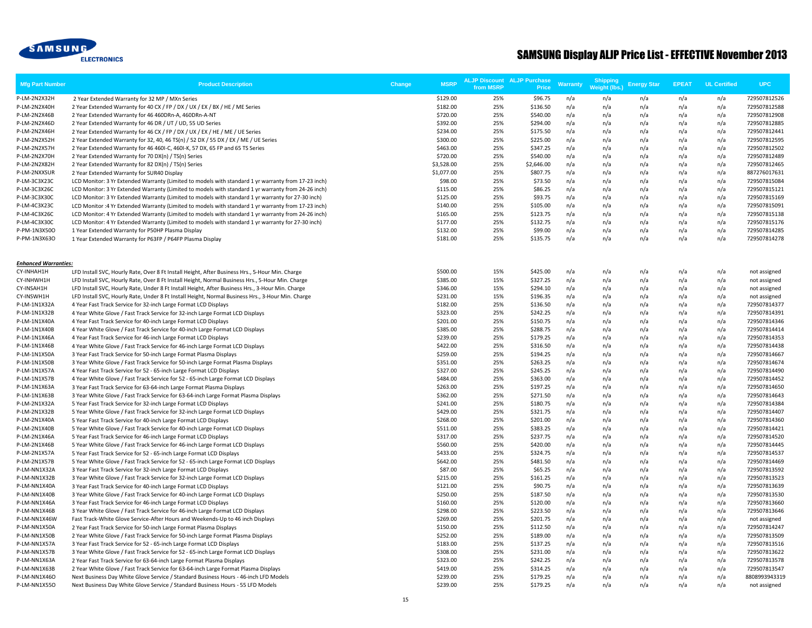

| Mfg Part Number                           | <b>Product Description</b>                                                                                                                                                                                | Change | <b>MSRP</b>          | <b>ALJP Discount ALJP Purchase</b><br>from MSRP | Price                | Warranty   | <b>Shipping</b><br><b>Weight (lbs.)</b> | <b>Energy Star</b> | <b>EPEAT</b> | <b>UL Certified</b> | <b>UPC</b>                   |
|-------------------------------------------|-----------------------------------------------------------------------------------------------------------------------------------------------------------------------------------------------------------|--------|----------------------|-------------------------------------------------|----------------------|------------|-----------------------------------------|--------------------|--------------|---------------------|------------------------------|
| P-LM-2N2X32H                              | 2 Year Extended Warranty for 32 MP / MXn Series                                                                                                                                                           |        | \$129.00             | 25%                                             | \$96.75              | n/a        | n/a                                     | n/a                | n/a          | n/a                 | 729507812526                 |
| P-LM-2N2X40H                              | 2 Year Extended Warranty for 40 CX / FP / DX / UX / EX / BX / HE / ME Series                                                                                                                              |        | \$182.00             | 25%                                             | \$136.50             | n/a        | n/a                                     | n/a                | n/a          | n/a                 | 729507812588                 |
| P-LM-2N2X46B                              | 2 Year Extended Warranty for 46 460DRn-A, 460DRn-A-NT                                                                                                                                                     |        | \$720.00             | 25%                                             | \$540.00             | n/a        | n/a                                     | n/a                | n/a          | n/a                 | 729507812908                 |
| P-LM-2N2X46D                              | 2 Year Extended Warranty for 46 DR / UT / UD, 55 UD Series                                                                                                                                                |        | \$392.00             | 25%                                             | \$294.00             | n/a        | n/a                                     | n/a                | n/a          | n/a                 | 729507812885                 |
| P-LM-2N2X46H                              | 2 Year Extended Warranty for 46 CX / FP / DX / UX / EX / HE / ME / UE Series                                                                                                                              |        | \$234.00             | 25%                                             | \$175.50             | n/a        | n/a                                     | n/a                | n/a          | n/a                 | 729507812441                 |
| P-LM-2N2X52H                              | 2 Year Extended Warranty for 32, 40, 46 TS(n) / 52 DX / 55 DX / EX / ME / UE Series                                                                                                                       |        | \$300.00             | 25%                                             | \$225.00             | n/a        | n/a                                     | n/a                | n/a          | n/a                 | 729507812595                 |
| P-LM-2N2X57H                              | 2 Year Extended Warranty for 46 460I-C, 460I-K, 57 DX, 65 FP and 65 TS Series                                                                                                                             |        | \$463.00             | 25%                                             | \$347.25             | n/a        | n/a                                     | n/a                | n/a          | n/a                 | 729507812502                 |
| P-LM-2N2X70H                              | 2 Year Extended Warranty for 70 DX(n) / TS(n) Series                                                                                                                                                      |        | \$720.00             | 25%                                             | \$540.00             | n/a        | n/a                                     | n/a                | n/a          | n/a                 | 729507812489                 |
| P-LM-2N2X82H                              | 2 Year Extended Warranty for 82 DX(n) / TS(n) Series                                                                                                                                                      |        | \$3,528.00           | 25%                                             | \$2,646.00           | n/a        | n/a                                     | n/a                | n/a          | n/a                 | 729507812465                 |
| P-LM-2NXXSUR                              | 2 Year Extended Warranty for SUR40 Display                                                                                                                                                                |        | \$1,077.00           | 25%                                             | \$807.75             | n/a        | n/a                                     | n/a                | n/a          | n/a                 | 887276017631                 |
| P-LM-3C3X23C                              | LCD Monitor: 3 Yr Extended Warranty (Limited to models with standard 1 yr warranty from 17-23 inch)                                                                                                       |        | \$98.00              | 25%                                             | \$73.50              | n/a        | n/a                                     | n/a                | n/a          | n/a                 | 729507815084                 |
| P-LM-3C3X26C                              | LCD Monitor: 3 Yr Extended Warranty (Limited to models with standard 1 yr warranty from 24-26 inch)                                                                                                       |        | \$115.00             | 25%<br>25%                                      | \$86.25              | n/a        | n/a                                     | n/a                | n/a          | n/a                 | 729507815121                 |
| P-LM-3C3X30C                              | LCD Monitor: 3 Yr Extended Warranty (Limited to models with standard 1 yr warranty for 27-30 inch)                                                                                                        |        | \$125.00             |                                                 | \$93.75              | n/a        | n/a                                     | n/a                | n/a          | n/a                 | 729507815169                 |
| P-LM-4C3X23C<br>P-LM-4C3X26C              | LCD Monitor :4 Yr Extended Warranty (Limited to models with standard 1 yr warranty from 17-23 inch)                                                                                                       |        | \$140.00<br>\$165.00 | 25%<br>25%                                      | \$105.00<br>\$123.75 | n/a        | n/a                                     | n/a                | n/a          | n/a                 | 729507815091<br>729507815138 |
| P-LM-4C3X30C                              | LCD Monitor: 4 Yr Extended Warranty (Limited to models with standard 1 yr warranty from 24-26 inch)<br>LCD Monitor: 4 Yr Extended Warranty (Limited to models with standard 1 yr warranty for 27-30 inch) |        | \$177.00             | 25%                                             | \$132.75             | n/a<br>n/a | n/a<br>n/a                              | n/a<br>n/a         | n/a<br>n/a   | n/a<br>n/a          | 729507815176                 |
| P-PM-1N3X50O                              | 1 Year Extended Warranty for P50HP Plasma Display                                                                                                                                                         |        | \$132.00             | 25%                                             | \$99.00              | n/a        | n/a                                     | n/a                | n/a          | n/a                 | 729507814285                 |
| P-PM-1N3X63O                              | 1 Year Extended Warranty for P63FP / P64FP Plasma Display                                                                                                                                                 |        | \$181.00             | 25%                                             | \$135.75             | n/a        | n/a                                     | n/a                | n/a          | n/a                 | 729507814278                 |
|                                           |                                                                                                                                                                                                           |        |                      |                                                 |                      |            |                                         |                    |              |                     |                              |
| <b>Enhanced Warranties:</b><br>CY-INHAH1H | LFD Install SVC, Hourly Rate, Over 8 Ft Install Height, After Business Hrs., 5-Hour Min. Charge                                                                                                           |        | \$500.00             | 15%                                             | \$425.00             | n/a        | n/a                                     | n/a                | n/a          | n/a                 | not assigned                 |
| CY-INHWH1H                                | LFD Install SVC, Hourly Rate, Over 8 Ft Install Height, Normal Business Hrs., 5-Hour Min. Charge                                                                                                          |        | \$385.00             | 15%                                             | \$327.25             | n/a        | n/a                                     | n/a                | n/a          | n/a                 | not assigned                 |
| CY-INSAH1H                                | LFD Install SVC, Hourly Rate, Under 8 Ft Install Height, After Business Hrs., 3-Hour Min. Charge                                                                                                          |        | \$346.00             | 15%                                             | \$294.10             | n/a        | n/a                                     | n/a                | n/a          | n/a                 | not assigned                 |
| CY-INSWH1H                                | LFD Install SVC, Hourly Rate, Under 8 Ft Install Height, Normal Business Hrs., 3-Hour Min. Charge                                                                                                         |        | \$231.00             | 15%                                             | \$196.35             | n/a        | n/a                                     | n/a                | n/a          | n/a                 | not assigned                 |
| P-LM-1N1X32A                              | 4 Year Fast Track Service for 32-inch Large Format LCD Displays                                                                                                                                           |        | \$182.00             | 25%                                             | \$136.50             | n/a        | n/a                                     | n/a                | n/a          | n/a                 | 729507814377                 |
| P-LM-1N1X32B                              | 4 Year White Glove / Fast Track Service for 32-inch Large Format LCD Displays                                                                                                                             |        | \$323.00             | 25%                                             | \$242.25             | n/a        | n/a                                     | n/a                | n/a          | n/a                 | 729507814391                 |
| P-LM-1N1X40A                              | 4 Year Fast Track Service for 40-inch Large Format LCD Displays                                                                                                                                           |        | \$201.00             | 25%                                             | \$150.75             | n/a        | n/a                                     | n/a                | n/a          | n/a                 | 729507814346                 |
| P-LM-1N1X40B                              | 4 Year White Glove / Fast Track Service for 40-inch Large Format LCD Displays                                                                                                                             |        | \$385.00             | 25%                                             | \$288.75             | n/a        | n/a                                     | n/a                | n/a          | n/a                 | 729507814414                 |
| P-LM-1N1X46A                              | 4 Year Fast Track Service for 46-inch Large Format LCD Displays                                                                                                                                           |        | \$239.00             | 25%                                             | \$179.25             | n/a        | n/a                                     | n/a                | n/a          | n/a                 | 729507814353                 |
| P-LM-1N1X46B                              | 4 Year White Glove / Fast Track Service for 46-inch Large Format LCD Displays                                                                                                                             |        | \$422.00             | 25%                                             | \$316.50             | n/a        | n/a                                     | n/a                | n/a          | n/a                 | 729507814438                 |
| P-LM-1N1X50A                              | 3 Year Fast Track Service for 50-inch Large Format Plasma Displays                                                                                                                                        |        | \$259.00             | 25%                                             | \$194.25             | n/a        | n/a                                     | n/a                | n/a          | n/a                 | 729507814667                 |
| P-LM-1N1X50B                              | 3 Year White Glove / Fast Track Service for 50-inch Large Format Plasma Displays                                                                                                                          |        | \$351.00             | 25%                                             | \$263.25             | n/a        | n/a                                     | n/a                | n/a          | n/a                 | 729507814674                 |
| P-LM-1N1X57A                              | 4 Year Fast Track Service for 52 - 65-inch Large Format LCD Displays                                                                                                                                      |        | \$327.00             | 25%                                             | \$245.25             | n/a        | n/a                                     | n/a                | n/a          | n/a                 | 729507814490                 |
| P-LM-1N1X57B                              | 4 Year White Glove / Fast Track Service for 52 - 65-inch Large Format LCD Displays                                                                                                                        |        | \$484.00             | 25%                                             | \$363.00             | n/a        | n/a                                     | n/a                | n/a          | n/a                 | 729507814452                 |
| P-LM-1N1X63A                              | 3 Year Fast Track Service for 63-64-inch Large Format Plasma Displays                                                                                                                                     |        | \$263.00             | 25%                                             | \$197.25             | n/a        | n/a                                     | n/a                | n/a          | n/a                 | 729507814650                 |
| P-LM-1N1X63B                              | 3 Year White Glove / Fast Track Service for 63-64-inch Large Format Plasma Displays                                                                                                                       |        | \$362.00             | 25%                                             | \$271.50             | n/a        | n/a                                     | n/a                | n/a          | n/a                 | 729507814643                 |
| P-LM-2N1X32A                              | 5 Year Fast Track Service for 32-inch Large Format LCD Displays                                                                                                                                           |        | \$241.00             | 25%                                             | \$180.75             | n/a        | n/a                                     | n/a                | n/a          | n/a                 | 729507814384                 |
| P-LM-2N1X32B                              | 5 Year White Glove / Fast Track Service for 32-inch Large Format LCD Displays                                                                                                                             |        | \$429.00             | 25%                                             | \$321.75             | n/a        | n/a                                     | n/a                | n/a          | n/a                 | 729507814407                 |
| P-LM-2N1X40A                              | 5 Year Fast Track Service for 40-inch Large Format LCD Displays                                                                                                                                           |        | \$268.00             | 25%                                             | \$201.00             | n/a        | n/a                                     | n/a                | n/a          | n/a                 | 729507814360                 |
| P-LM-2N1X40B                              | 5 Year White Glove / Fast Track Service for 40-inch Large Format LCD Displays                                                                                                                             |        | \$511.00             | 25%                                             | \$383.25             | n/a        | n/a                                     | n/a                | n/a          | n/a                 | 729507814421                 |
| P-LM-2N1X46A                              | 5 Year Fast Track Service for 46-inch Large Format LCD Displays                                                                                                                                           |        | \$317.00             | 25%                                             | \$237.75             | n/a        | n/a                                     | n/a                | n/a          | n/a                 | 729507814520                 |
| P-LM-2N1X46B                              | 5 Year White Glove / Fast Track Service for 46-inch Large Format LCD Displays                                                                                                                             |        | \$560.00             | 25%                                             | \$420.00             | n/a        | n/a                                     | n/a                | n/a          | n/a                 | 729507814445                 |
| P-LM-2N1X57A                              | 5 Year Fast Track Service for 52 - 65-inch Large Format LCD Displays                                                                                                                                      |        | \$433.00             | 25%                                             | \$324.75             | n/a        | n/a                                     | n/a                | n/a          | n/a                 | 729507814537                 |
| P-LM-2N1X57B                              | 5 Year White Glove / Fast Track Service for 52 - 65-inch Large Format LCD Displays                                                                                                                        |        | \$642.00             | 25%                                             | \$481.50             | n/a        | n/a                                     | n/a                | n/a          | n/a                 | 729507814469                 |
| P-LM-NN1X32A                              | 3 Year Fast Track Service for 32-inch Large Format LCD Displays                                                                                                                                           |        | \$87.00              | 25%                                             | \$65.25              | n/a        | n/a                                     | n/a                | n/a          | n/a                 | 729507813592                 |
| P-LM-NN1X32B                              | 3 Year White Glove / Fast Track Service for 32-inch Large Format LCD Displays                                                                                                                             |        | \$215.00             | 25%                                             | \$161.25             | n/a        | n/a                                     | n/a                | n/a          | n/a                 | 729507813523                 |
| P-LM-NN1X40A                              | 3 Year Fast Track Service for 40-inch Large Format LCD Displays                                                                                                                                           |        | \$121.00             | 25%                                             | \$90.75              | n/a        | n/a                                     | n/a                | n/a          | n/a                 | 729507813639                 |
| P-LM-NN1X40B                              | 3 Year White Glove / Fast Track Service for 40-inch Large Format LCD Displays                                                                                                                             |        | \$250.00             | 25%                                             | \$187.50             | n/a        | n/a                                     | n/a                | n/a          | n/a                 | 729507813530                 |
| P-LM-NN1X46A                              | 3 Year Fast Track Service for 46-inch Large Format LCD Displays                                                                                                                                           |        | \$160.00             | 25%                                             | \$120.00             | n/a        | n/a                                     | n/a                | n/a          | n/a                 | 729507813660                 |
| P-LM-NN1X46B                              | 3 Year White Glove / Fast Track Service for 46-inch Large Format LCD Displays                                                                                                                             |        | \$298.00             | 25%                                             | \$223.50             | n/a        | n/a                                     | n/a                | n/a          | n/a                 | 729507813646                 |
| P-LM-NN1X46W                              | Fast Track-White Glove Service-After Hours and Weekends-Up to 46 inch Displays                                                                                                                            |        | \$269.00             | 25%                                             | \$201.75             | n/a        | n/a                                     | n/a                | n/a          | n/a                 | not assigned                 |
| P-LM-NN1X50A                              | 2 Year Fast Track Service for 50-inch Large Format Plasma Displays                                                                                                                                        |        | \$150.00             | 25%                                             | \$112.50             | n/a        | n/a                                     | n/a                | n/a          | n/a                 | 729507814247                 |
| P-LM-NN1X50B                              | 2 Year White Glove / Fast Track Service for 50-inch Large Format Plasma Displays                                                                                                                          |        | \$252.00             | 25%                                             | \$189.00             | n/a        | n/a                                     | n/a                | n/a          | n/a                 | 729507813509                 |
| P-LM-NN1X57A                              | 3 Year Fast Track Service for 52 - 65-inch Large Format LCD Displays                                                                                                                                      |        | \$183.00             | 25%                                             | \$137.25             | n/a        | n/a                                     | n/a                | n/a          | n/a                 | 729507813516                 |
| P-LM-NN1X57B                              | 3 Year White Glove / Fast Track Service for 52 - 65-inch Large Format LCD Displays                                                                                                                        |        | \$308.00             | 25%                                             | \$231.00             | n/a        | n/a                                     | n/a                | n/a          | n/a                 | 729507813622                 |
| P-LM-NN1X63A                              | 2 Year Fast Track Service for 63-64-inch Large Format Plasma Displays                                                                                                                                     |        | \$323.00             | 25%                                             | \$242.25             | n/a        | n/a                                     | n/a                | n/a          | n/a                 | 729507813578                 |
| P-LM-NN1X63B                              | 2 Year White Glove / Fast Track Service for 63-64-inch Large Format Plasma Displays                                                                                                                       |        | \$419.00             | 25%                                             | \$314.25             | n/a        | n/a                                     | n/a                | n/a          | n/a                 | 729507813547                 |
| P-LM-NN1X46O                              | Next Business Day White Glove Service / Standard Business Hours - 46-inch LFD Models                                                                                                                      |        | \$239.00             | 25%                                             | \$179.25             | n/a        | n/a                                     | n/a                | n/a          | n/a                 | 8808993943319                |
| P-LM-NN1X55O                              | Next Business Day White Glove Service / Standard Business Hours - 55 LFD Models                                                                                                                           |        | \$239.00             | 25%                                             | \$179.25             | n/a        | n/a                                     | n/a                | n/a          | n/a                 | not assigned                 |